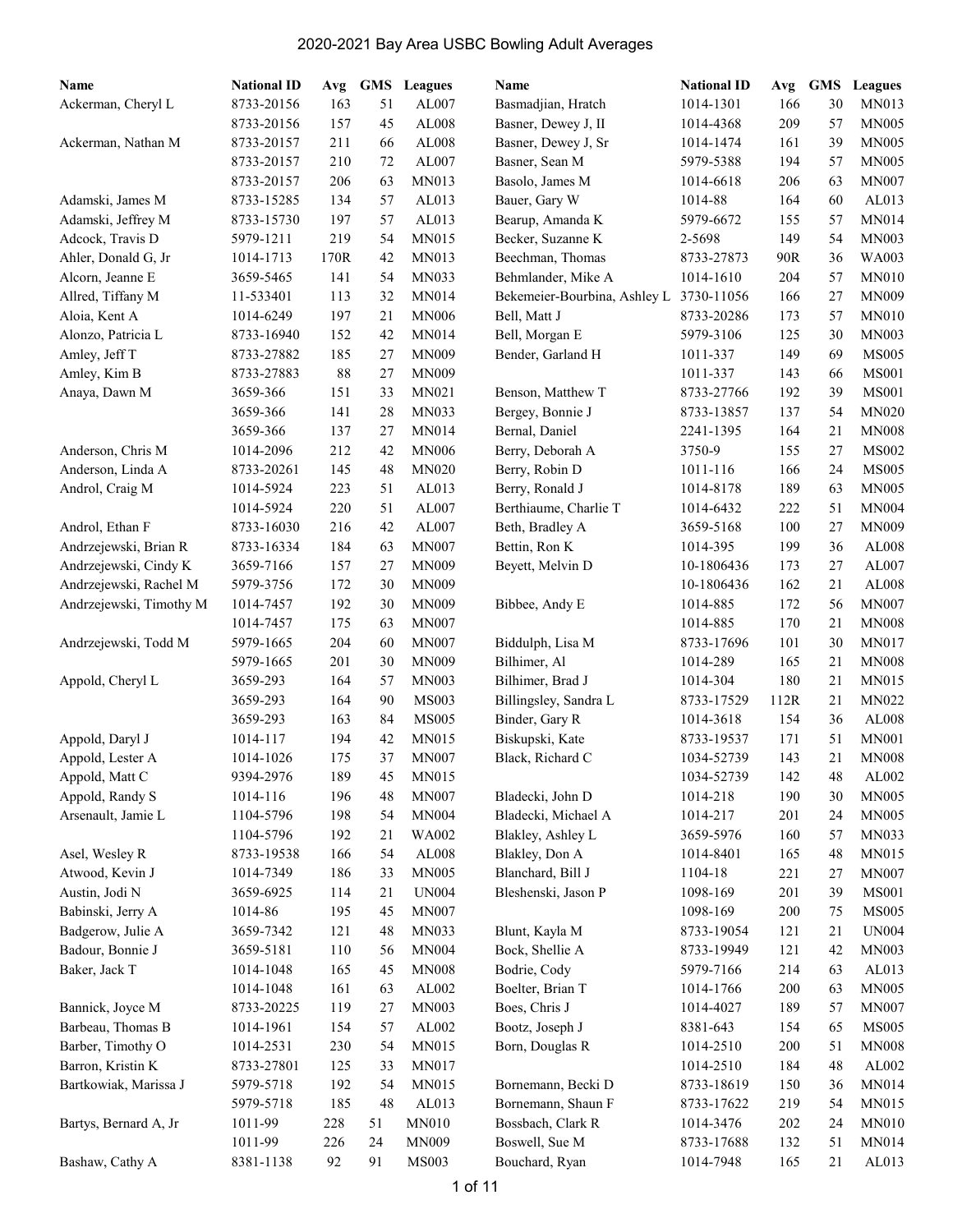| Name                    | <b>National ID</b> | Avg  |    | <b>GMS</b> Leagues | Name                         | <b>National ID</b> | Avg  | GMS | Leagues       |
|-------------------------|--------------------|------|----|--------------------|------------------------------|--------------------|------|-----|---------------|
| Ackerman, Cheryl L      | 8733-20156         | 163  | 51 | AL007              | Basmadjian, Hratch           | 1014-1301          | 166  | 30  | <b>MN013</b>  |
|                         | 8733-20156         | 157  | 45 | AL008              | Basner, Dewey J, II          | 1014-4368          | 209  | 57  | <b>MN005</b>  |
| Ackerman, Nathan M      | 8733-20157         | 211  | 66 | AL008              | Basner, Dewey J, Sr          | 1014-1474          | 161  | 39  | <b>MN005</b>  |
|                         | 8733-20157         | 210  | 72 | AL007              | Basner, Sean M               | 5979-5388          | 194  | 57  | <b>MN005</b>  |
|                         | 8733-20157         | 206  | 63 | MN013              | Basolo, James M              | 1014-6618          | 206  | 63  | <b>MN007</b>  |
| Adamski, James M        | 8733-15285         | 134  | 57 | AL013              | Bauer, Gary W                | 1014-88            | 164  | 60  | AL013         |
| Adamski, Jeffrey M      | 8733-15730         | 197  | 57 | AL013              | Bearup, Amanda K             | 5979-6672          | 155  | 57  | <b>MN014</b>  |
| Adcock, Travis D        | 5979-1211          | 219  | 54 | <b>MN015</b>       | Becker, Suzanne K            | 2-5698             | 149  | 54  | <b>MN003</b>  |
| Ahler, Donald G, Jr     | 1014-1713          | 170R | 42 | <b>MN013</b>       | Beechman, Thomas             | 8733-27873         | 90R  | 36  | WA003         |
| Alcorn, Jeanne E        | 3659-5465          | 141  | 54 | MN033              | Behmlander, Mike A           | 1014-1610          | 204  | 57  | <b>MN010</b>  |
| Allred, Tiffany M       | 11-533401          | 113  | 32 | MN014              | Bekemeier-Bourbina, Ashley L | 3730-11056         | 166  | 27  | <b>MN009</b>  |
| Aloia, Kent A           | 1014-6249          | 197  | 21 | <b>MN006</b>       | Bell, Matt J                 | 8733-20286         | 173  | 57  | <b>MN010</b>  |
| Alonzo, Patricia L      | 8733-16940         | 152  | 42 | MN014              | Bell, Morgan E               | 5979-3106          | 125  | 30  | <b>MN003</b>  |
| Amley, Jeff T           | 8733-27882         | 185  | 27 | <b>MN009</b>       | Bender, Garland H            | 1011-337           | 149  | 69  | <b>MS005</b>  |
| Amley, Kim B            | 8733-27883         | 88   | 27 | <b>MN009</b>       |                              | 1011-337           | 143  | 66  | <b>MS001</b>  |
| Anaya, Dawn M           | 3659-366           | 151  | 33 | MN021              | Benson, Matthew T            | 8733-27766         | 192  | 39  | <b>MS001</b>  |
|                         | 3659-366           | 141  | 28 | MN033              | Bergey, Bonnie J             | 8733-13857         | 137  | 54  | <b>MN020</b>  |
|                         | 3659-366           | 137  | 27 | <b>MN014</b>       | Bernal, Daniel               | 2241-1395          | 164  | 21  | <b>MN008</b>  |
| Anderson, Chris M       | 1014-2096          | 212  | 42 | <b>MN006</b>       | Berry, Deborah A             | 3750-9             | 155  | 27  | <b>MS002</b>  |
| Anderson, Linda A       | 8733-20261         | 145  | 48 | <b>MN020</b>       | Berry, Robin D               | 1011-116           | 166  | 24  | <b>MS005</b>  |
| Androl, Craig M         | 1014-5924          | 223  | 51 | AL013              | Berry, Ronald J              | 1014-8178          | 189  | 63  | <b>MN005</b>  |
|                         | 1014-5924          | 220  | 51 | AL007              | Berthiaume, Charlie T        | 1014-6432          | 222  | 51  | <b>MN004</b>  |
| Androl, Ethan F         | 8733-16030         | 216  | 42 | AL007              | Beth, Bradley A              | 3659-5168          | 100  | 27  | <b>MN009</b>  |
| Andrzejewski, Brian R   | 8733-16334         | 184  | 63 | <b>MN007</b>       | Bettin, Ron K                | 1014-395           | 199  | 36  | AL008         |
| Andrzejewski, Cindy K   | 3659-7166          | 157  | 27 | <b>MN009</b>       | Beyett, Melvin D             | 10-1806436         | 173  | 27  | AL007         |
| Andrzejewski, Rachel M  | 5979-3756          | 172  | 30 | <b>MN009</b>       |                              | 10-1806436         | 162  | 21  | AL008         |
| Andrzejewski, Timothy M | 1014-7457          | 192  | 30 | <b>MN009</b>       | Bibbee, Andy E               | 1014-885           | 172  | 56  | <b>MN007</b>  |
|                         | 1014-7457          | 175  | 63 | <b>MN007</b>       |                              | 1014-885           | 170  | 21  | <b>MN008</b>  |
| Andrzejewski, Todd M    | 5979-1665          | 204  | 60 | <b>MN007</b>       | Biddulph, Lisa M             | 8733-17696         | 101  | 30  | MN017         |
|                         | 5979-1665          | 201  | 30 | <b>MN009</b>       | Bilhimer, Al                 | 1014-289           | 165  | 21  | <b>MN008</b>  |
| Appold, Cheryl L        | 3659-293           | 164  | 57 | <b>MN003</b>       | Bilhimer, Brad J             | 1014-304           | 180  | 21  | MN015         |
|                         | 3659-293           | 164  | 90 | <b>MS003</b>       | Billingsley, Sandra L        | 8733-17529         | 112R | 21  | MN022         |
|                         | 3659-293           | 163  | 84 | <b>MS005</b>       | Binder, Gary R               | 1014-3618          | 154  | 36  | AL008         |
| Appold, Daryl J         | 1014-117           | 194  | 42 | <b>MN015</b>       | Biskupski, Kate              | 8733-19537         | 171  | 51  | <b>MN001</b>  |
| Appold, Lester A        | 1014-1026          | 175  | 37 | <b>MN007</b>       | Black, Richard C             | 1034-52739         | 143  | 21  | <b>MN008</b>  |
| Appold, Matt C          | 9394-2976          | 189  | 45 | MN015              |                              | 1034-52739         | 142  | 48  | ${\rm AL}002$ |
| Appold, Randy S         | 1014-116           | 196  | 48 | <b>MN007</b>       | Bladecki, John D             | 1014-218           | 190  | 30  | <b>MN005</b>  |
| Arsenault, Jamie L      | 1104-5796          | 198  | 54 | <b>MN004</b>       | Bladecki, Michael A          | 1014-217           | 201  | 24  | <b>MN005</b>  |
|                         | 1104-5796          | 192  | 21 | WA002              | Blakley, Ashley L            | 3659-5976          | 160  | 57  | MN033         |
| Asel, Wesley R          | 8733-19538         | 166  | 54 | AL008              | Blakley, Don A               | 1014-8401          | 165  | 48  | MN015         |
| Atwood, Kevin J         | 1014-7349          | 186  | 33 | <b>MN005</b>       | Blanchard, Bill J            | 1104-18            | 221  | 27  | <b>MN007</b>  |
| Austin, Jodi N          | 3659-6925          | 114  | 21 | <b>UN004</b>       | Bleshenski, Jason P          | 1098-169           | 201  | 39  | <b>MS001</b>  |
| Babinski, Jerry A       | 1014-86            | 195  | 45 | <b>MN007</b>       |                              | 1098-169           | 200  | 75  | <b>MS005</b>  |
| Badgerow, Julie A       | 3659-7342          | 121  | 48 | MN033              | Blunt, Kayla M               | 8733-19054         | 121  | 21  | <b>UN004</b>  |
| Badour, Bonnie J        | 3659-5181          | 110  | 56 | <b>MN004</b>       | Bock, Shellie A              | 8733-19949         | 121  | 42  | MN003         |
| Baker, Jack T           | 1014-1048          | 165  | 45 | <b>MN008</b>       | Bodrie, Cody                 | 5979-7166          | 214  | 63  | AL013         |
|                         | 1014-1048          | 161  | 63 | AL002              | Boelter, Brian T             | 1014-1766          | 200  | 63  | MN005         |
| Bannick, Joyce M        | 8733-20225         | 119  | 27 | MN003              | Boes, Chris J                | 1014-4027          | 189  | 57  | <b>MN007</b>  |
| Barbeau, Thomas B       | 1014-1961          | 154  | 57 | AL002              | Bootz, Joseph J              | 8381-643           | 154  | 65  | <b>MS005</b>  |
| Barber, Timothy O       | 1014-2531          | 230  | 54 | MN015              | Born, Douglas R              | 1014-2510          | 200  | 51  | <b>MN008</b>  |
| Barron, Kristin K       | 8733-27801         | 125  | 33 | MN017              |                              | 1014-2510          | 184  | 48  | ${\rm AL}002$ |
| Bartkowiak, Marissa J   | 5979-5718          | 192  | 54 | MN015              | Bornemann, Becki D           | 8733-18619         | 150  | 36  | MN014         |
|                         | 5979-5718          | 185  | 48 | AL013              | Bornemann, Shaun F           | 8733-17622         | 219  | 54  | MN015         |
| Bartys, Bernard A, Jr   | 1011-99            | 228  | 51 | MN010              | Bossbach, Clark R            | 1014-3476          | 202  | 24  | <b>MN010</b>  |
|                         | 1011-99            | 226  | 24 | <b>MN009</b>       | Boswell, Sue M               | 8733-17688         | 132  | 51  | <b>MN014</b>  |
| Bashaw, Cathy A         | 8381-1138          | 92   | 91 | MS003              | Bouchard, Ryan               | 1014-7948          | 165  | 21  | AL013         |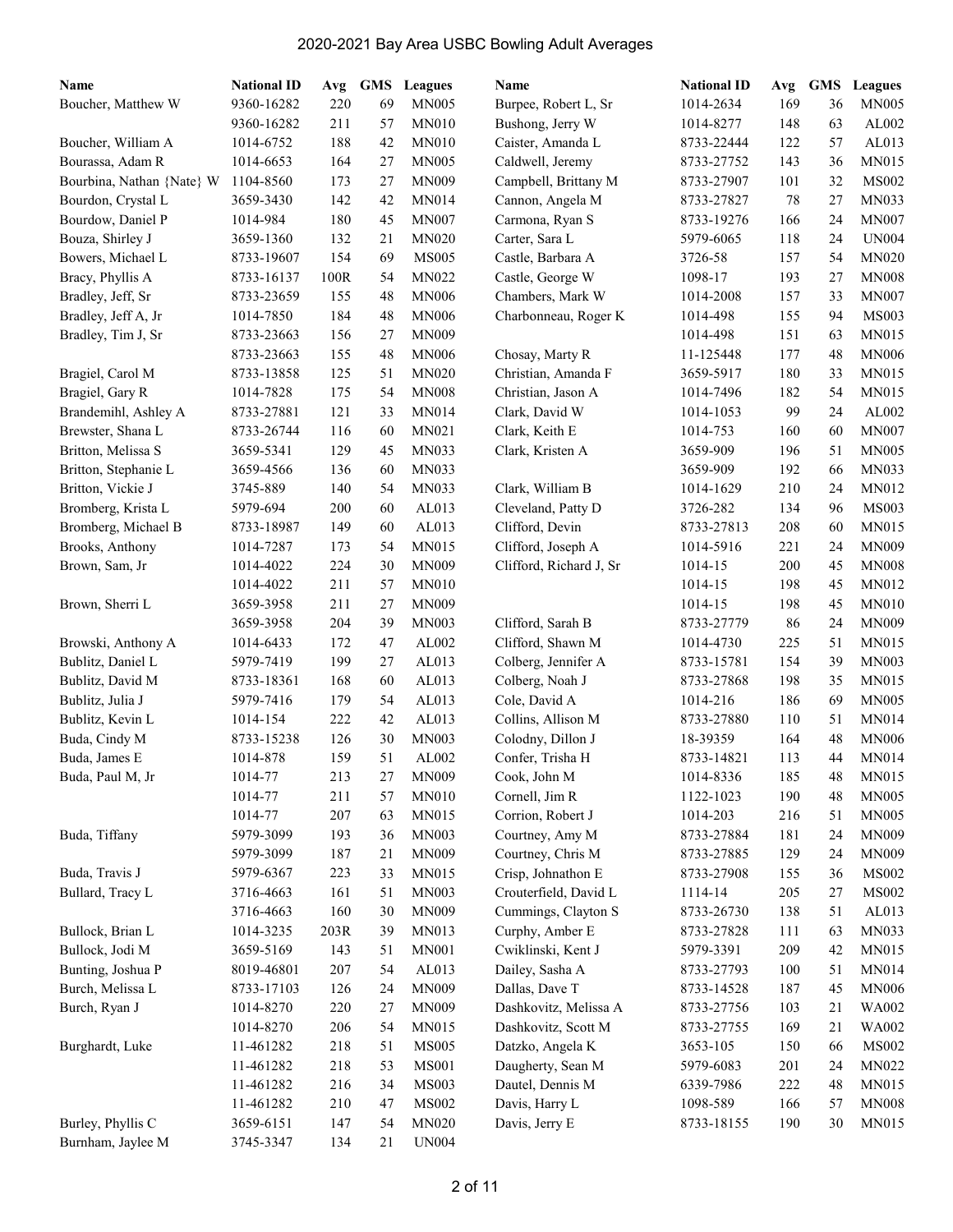| Name                      | <b>National ID</b> | Avg  | <b>GMS</b> | <b>Leagues</b> | Name                    | <b>National ID</b> | Avg | <b>GMS</b> | Leagues      |
|---------------------------|--------------------|------|------------|----------------|-------------------------|--------------------|-----|------------|--------------|
| Boucher, Matthew W        | 9360-16282         | 220  | 69         | <b>MN005</b>   | Burpee, Robert L, Sr    | 1014-2634          | 169 | 36         | <b>MN005</b> |
|                           | 9360-16282         | 211  | 57         | <b>MN010</b>   | Bushong, Jerry W        | 1014-8277          | 148 | 63         | AL002        |
| Boucher, William A        | 1014-6752          | 188  | 42         | <b>MN010</b>   | Caister, Amanda L       | 8733-22444         | 122 | 57         | AL013        |
| Bourassa, Adam R          | 1014-6653          | 164  | 27         | <b>MN005</b>   | Caldwell, Jeremy        | 8733-27752         | 143 | 36         | <b>MN015</b> |
| Bourbina, Nathan {Nate} W | 1104-8560          | 173  | 27         | <b>MN009</b>   | Campbell, Brittany M    | 8733-27907         | 101 | 32         | <b>MS002</b> |
| Bourdon, Crystal L        | 3659-3430          | 142  | 42         | <b>MN014</b>   | Cannon, Angela M        | 8733-27827         | 78  | 27         | MN033        |
| Bourdow, Daniel P         | 1014-984           | 180  | 45         | <b>MN007</b>   | Carmona, Ryan S         | 8733-19276         | 166 | 24         | <b>MN007</b> |
| Bouza, Shirley J          | 3659-1360          | 132  | 21         | <b>MN020</b>   | Carter, Sara L          | 5979-6065          | 118 | 24         | <b>UN004</b> |
| Bowers, Michael L         | 8733-19607         | 154  | 69         | <b>MS005</b>   | Castle, Barbara A       | 3726-58            | 157 | 54         | <b>MN020</b> |
| Bracy, Phyllis A          | 8733-16137         | 100R | 54         | MN022          | Castle, George W        | 1098-17            | 193 | 27         | <b>MN008</b> |
| Bradley, Jeff, Sr         | 8733-23659         | 155  | 48         | <b>MN006</b>   | Chambers, Mark W        | 1014-2008          | 157 | 33         | <b>MN007</b> |
| Bradley, Jeff A, Jr       | 1014-7850          | 184  | 48         | <b>MN006</b>   | Charbonneau, Roger K    | 1014-498           | 155 | 94         | <b>MS003</b> |
| Bradley, Tim J, Sr        | 8733-23663         | 156  | 27         | <b>MN009</b>   |                         | 1014-498           | 151 | 63         | MN015        |
|                           | 8733-23663         | 155  | 48         | <b>MN006</b>   | Chosay, Marty R         | 11-125448          | 177 | 48         | <b>MN006</b> |
| Bragiel, Carol M          | 8733-13858         | 125  | 51         | <b>MN020</b>   | Christian, Amanda F     | 3659-5917          | 180 | 33         | MN015        |
| Bragiel, Gary R           | 1014-7828          | 175  | 54         | <b>MN008</b>   | Christian, Jason A      | 1014-7496          | 182 | 54         | MN015        |
| Brandemihl, Ashley A      | 8733-27881         | 121  | 33         | <b>MN014</b>   | Clark, David W          | 1014-1053          | 99  | 24         | AL002        |
| Brewster, Shana L         | 8733-26744         | 116  | 60         | MN021          | Clark, Keith E          | 1014-753           | 160 | 60         | <b>MN007</b> |
| Britton, Melissa S        | 3659-5341          | 129  | 45         | <b>MN033</b>   | Clark, Kristen A        | 3659-909           | 196 | 51         | <b>MN005</b> |
| Britton, Stephanie L      | 3659-4566          | 136  | 60         | MN033          |                         | 3659-909           | 192 | 66         | MN033        |
| Britton, Vickie J         | 3745-889           | 140  | 54         | MN033          | Clark, William B        | 1014-1629          | 210 | 24         | MN012        |
| Bromberg, Krista L        | 5979-694           | 200  | 60         | AL013          | Cleveland, Patty D      | 3726-282           | 134 | 96         | MS003        |
| Bromberg, Michael B       | 8733-18987         | 149  | 60         | AL013          | Clifford, Devin         | 8733-27813         | 208 | 60         | <b>MN015</b> |
| Brooks, Anthony           | 1014-7287          | 173  | 54         | MN015          | Clifford, Joseph A      | 1014-5916          | 221 | 24         | <b>MN009</b> |
| Brown, Sam, Jr            | 1014-4022          | 224  | 30         | <b>MN009</b>   | Clifford, Richard J, Sr | 1014-15            | 200 | 45         | <b>MN008</b> |
|                           | 1014-4022          | 211  | 57         | <b>MN010</b>   |                         | 1014-15            | 198 | 45         | MN012        |
| Brown, Sherri L           | 3659-3958          | 211  | 27         | <b>MN009</b>   |                         | 1014-15            | 198 | 45         | <b>MN010</b> |
|                           | 3659-3958          | 204  | 39         | <b>MN003</b>   | Clifford, Sarah B       | 8733-27779         | 86  | 24         | <b>MN009</b> |
| Browski, Anthony A        | 1014-6433          | 172  | 47         | AL002          | Clifford, Shawn M       | 1014-4730          | 225 | 51         | MN015        |
| Bublitz, Daniel L         | 5979-7419          | 199  | 27         | AL013          | Colberg, Jennifer A     | 8733-15781         | 154 | 39         | <b>MN003</b> |
| Bublitz, David M          | 8733-18361         | 168  | 60         | AL013          | Colberg, Noah J         | 8733-27868         | 198 | 35         | MN015        |
| Bublitz, Julia J          | 5979-7416          | 179  | 54         | AL013          | Cole, David A           | 1014-216           | 186 | 69         | <b>MN005</b> |
| Bublitz, Kevin L          | 1014-154           | 222  | 42         | AL013          | Collins, Allison M      | 8733-27880         | 110 | 51         | <b>MN014</b> |
| Buda, Cindy M             | 8733-15238         | 126  | 30         | <b>MN003</b>   | Colodny, Dillon J       | 18-39359           | 164 | 48         | <b>MN006</b> |
| Buda, James E             | 1014-878           | 159  | 51         | AL002          | Confer, Trisha H        | 8733-14821         | 113 | 44         | <b>MN014</b> |
| Buda, Paul M, Jr          | 1014-77            | 213  | 27         | MN009          | Cook, John M            | 1014-8336          | 185 | 48         | MN015        |
|                           |                    |      |            |                |                         |                    |     | 48         | <b>MN005</b> |
|                           | 1014-77            | 211  | 57         | MN010          | Cornell, Jim R          | 1122-1023          | 190 |            |              |
|                           | 1014-77            | 207  | 63         | MN015          | Corrion, Robert J       | 1014-203           | 216 | 51         | <b>MN005</b> |
| Buda, Tiffany             | 5979-3099          | 193  | 36         | <b>MN003</b>   | Courtney, Amy M         | 8733-27884         | 181 | 24         | MN009        |
|                           | 5979-3099          | 187  | 21         | <b>MN009</b>   | Courtney, Chris M       | 8733-27885         | 129 | 24         | <b>MN009</b> |
| Buda, Travis J            | 5979-6367          | 223  | 33         | <b>MN015</b>   | Crisp, Johnathon E      | 8733-27908         | 155 | 36         | <b>MS002</b> |
| Bullard, Tracy L          | 3716-4663          | 161  | 51         | <b>MN003</b>   | Crouterfield, David L   | 1114-14            | 205 | 27         | <b>MS002</b> |
|                           | 3716-4663          | 160  | 30         | <b>MN009</b>   | Cummings, Clayton S     | 8733-26730         | 138 | 51         | AL013        |
| Bullock, Brian L          | 1014-3235          | 203R | 39         | MN013          | Curphy, Amber E         | 8733-27828         | 111 | 63         | MN033        |
| Bullock, Jodi M           | 3659-5169          | 143  | 51         | <b>MN001</b>   | Cwiklinski, Kent J      | 5979-3391          | 209 | 42         | MN015        |
| Bunting, Joshua P         | 8019-46801         | 207  | 54         | AL013          | Dailey, Sasha A         | 8733-27793         | 100 | 51         | MN014        |
| Burch, Melissa L          | 8733-17103         | 126  | 24         | MN009          | Dallas, Dave T          | 8733-14528         | 187 | 45         | MN006        |
| Burch, Ryan J             | 1014-8270          | 220  | 27         | <b>MN009</b>   | Dashkovitz, Melissa A   | 8733-27756         | 103 | 21         | WA002        |
|                           | 1014-8270          | 206  | 54         | MN015          | Dashkovitz, Scott M     | 8733-27755         | 169 | 21         | WA002        |
| Burghardt, Luke           | 11-461282          | 218  | 51         | <b>MS005</b>   | Datzko, Angela K        | 3653-105           | 150 | 66         | <b>MS002</b> |
|                           | 11-461282          | 218  | 53         | <b>MS001</b>   | Daugherty, Sean M       | 5979-6083          | 201 | 24         | MN022        |
|                           | 11-461282          | 216  | 34         | <b>MS003</b>   | Dautel, Dennis M        | 6339-7986          | 222 | 48         | MN015        |
|                           | 11-461282          | 210  | 47         | <b>MS002</b>   | Davis, Harry L          | 1098-589           | 166 | 57         | <b>MN008</b> |
| Burley, Phyllis C         | 3659-6151          | 147  | 54         | <b>MN020</b>   | Davis, Jerry E          | 8733-18155         | 190 | 30         | MN015        |
| Burnham, Jaylee M         | 3745-3347          | 134  | 21         | <b>UN004</b>   |                         |                    |     |            |              |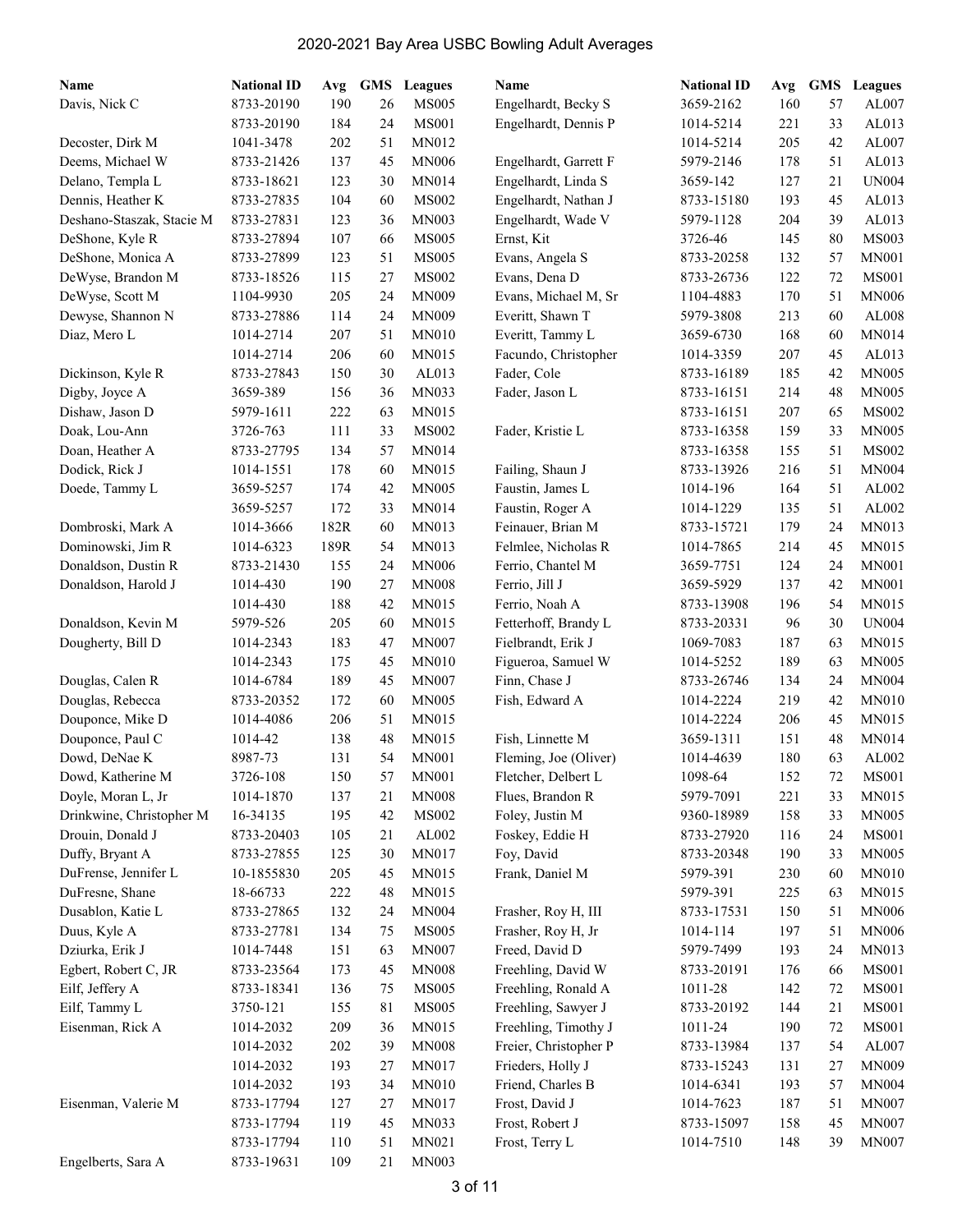| Name                      | <b>National ID</b> | Avg  | <b>GMS</b> | <b>Leagues</b> | Name                  | <b>National ID</b> | Avg | <b>GMS</b> | Leagues      |
|---------------------------|--------------------|------|------------|----------------|-----------------------|--------------------|-----|------------|--------------|
| Davis, Nick C             | 8733-20190         | 190  | 26         | <b>MS005</b>   | Engelhardt, Becky S   | 3659-2162          | 160 | 57         | AL007        |
|                           | 8733-20190         | 184  | 24         | <b>MS001</b>   | Engelhardt, Dennis P  | 1014-5214          | 221 | 33         | AL013        |
| Decoster, Dirk M          | 1041-3478          | 202  | 51         | <b>MN012</b>   |                       | 1014-5214          | 205 | 42         | AL007        |
| Deems, Michael W          | 8733-21426         | 137  | 45         | <b>MN006</b>   | Engelhardt, Garrett F | 5979-2146          | 178 | 51         | AL013        |
| Delano, Templa L          | 8733-18621         | 123  | 30         | MN014          | Engelhardt, Linda S   | 3659-142           | 127 | 21         | <b>UN004</b> |
| Dennis, Heather K         | 8733-27835         | 104  | 60         | <b>MS002</b>   | Engelhardt, Nathan J  | 8733-15180         | 193 | 45         | AL013        |
| Deshano-Staszak, Stacie M | 8733-27831         | 123  | 36         | <b>MN003</b>   | Engelhardt, Wade V    | 5979-1128          | 204 | 39         | AL013        |
| DeShone, Kyle R           | 8733-27894         | 107  | 66         | <b>MS005</b>   | Ernst, Kit            | 3726-46            | 145 | 80         | <b>MS003</b> |
| DeShone, Monica A         | 8733-27899         | 123  | 51         | <b>MS005</b>   | Evans, Angela S       | 8733-20258         | 132 | 57         | <b>MN001</b> |
| DeWyse, Brandon M         | 8733-18526         | 115  | 27         | <b>MS002</b>   | Evans, Dena D         | 8733-26736         | 122 | 72         | <b>MS001</b> |
| DeWyse, Scott M           | 1104-9930          | 205  | 24         | <b>MN009</b>   | Evans, Michael M, Sr  | 1104-4883          | 170 | 51         | <b>MN006</b> |
| Dewyse, Shannon N         | 8733-27886         | 114  | 24         | <b>MN009</b>   | Everitt, Shawn T      | 5979-3808          | 213 | 60         | AL008        |
| Diaz, Mero L              | 1014-2714          | 207  | 51         | <b>MN010</b>   | Everitt, Tammy L      | 3659-6730          | 168 | 60         | <b>MN014</b> |
|                           | 1014-2714          | 206  | 60         | MN015          | Facundo, Christopher  | 1014-3359          | 207 | 45         | AL013        |
| Dickinson, Kyle R         | 8733-27843         | 150  | 30         | AL013          | Fader, Cole           | 8733-16189         | 185 | 42         | <b>MN005</b> |
| Digby, Joyce A            | 3659-389           | 156  | 36         | MN033          | Fader, Jason L        | 8733-16151         | 214 | 48         | <b>MN005</b> |
| Dishaw, Jason D           | 5979-1611          | 222  | 63         | MN015          |                       | 8733-16151         | 207 | 65         | <b>MS002</b> |
| Doak, Lou-Ann             | 3726-763           | 111  | 33         | <b>MS002</b>   | Fader, Kristie L      | 8733-16358         | 159 | 33         | <b>MN005</b> |
| Doan, Heather A           | 8733-27795         | 134  | 57         | MN014          |                       | 8733-16358         | 155 | 51         | <b>MS002</b> |
| Dodick, Rick J            | 1014-1551          | 178  | 60         | MN015          | Failing, Shaun J      | 8733-13926         | 216 | 51         | <b>MN004</b> |
| Doede, Tammy L            | 3659-5257          | 174  | 42         | <b>MN005</b>   | Faustin, James L      | 1014-196           | 164 | 51         | AL002        |
|                           | 3659-5257          | 172  | 33         | MN014          | Faustin, Roger A      | 1014-1229          | 135 | 51         | AL002        |
| Dombroski, Mark A         | 1014-3666          | 182R | 60         | MN013          | Feinauer, Brian M     | 8733-15721         | 179 | 24         | <b>MN013</b> |
| Dominowski, Jim R         | 1014-6323          | 189R | 54         | <b>MN013</b>   | Felmlee, Nicholas R   | 1014-7865          | 214 | 45         | MN015        |
| Donaldson, Dustin R       | 8733-21430         | 155  | 24         | <b>MN006</b>   | Ferrio, Chantel M     | 3659-7751          | 124 | 24         | <b>MN001</b> |
| Donaldson, Harold J       | 1014-430           | 190  | 27         | <b>MN008</b>   | Ferrio, Jill J        | 3659-5929          | 137 | 42         | <b>MN001</b> |
|                           | 1014-430           | 188  | 42         | <b>MN015</b>   | Ferrio, Noah A        | 8733-13908         | 196 | 54         | MN015        |
| Donaldson, Kevin M        | 5979-526           | 205  | 60         | <b>MN015</b>   | Fetterhoff, Brandy L  | 8733-20331         | 96  | 30         | <b>UN004</b> |
| Dougherty, Bill D         | 1014-2343          | 183  | 47         | <b>MN007</b>   | Fielbrandt, Erik J    | 1069-7083          | 187 | 63         | MN015        |
|                           | 1014-2343          | 175  | 45         | <b>MN010</b>   | Figueroa, Samuel W    | 1014-5252          | 189 | 63         | <b>MN005</b> |
| Douglas, Calen R          | 1014-6784          | 189  | 45         | <b>MN007</b>   | Finn, Chase J         | 8733-26746         | 134 | 24         | <b>MN004</b> |
| Douglas, Rebecca          | 8733-20352         | 172  | 60         | <b>MN005</b>   | Fish, Edward A        | 1014-2224          | 219 | 42         | <b>MN010</b> |
| Douponce, Mike D          | 1014-4086          | 206  | 51         | MN015          |                       | 1014-2224          | 206 | 45         | MN015        |
| Douponce, Paul C          | 1014-42            | 138  | 48         | MN015          | Fish, Linnette M      | 3659-1311          | 151 | 48         | MN014        |
| Dowd, DeNae K             | 8987-73            | 131  | 54         | <b>MN001</b>   | Fleming, Joe (Oliver) | 1014-4639          | 180 | 63         | AL002        |
| Dowd, Katherine M         | 3726-108           | 150  | 57         | <b>MN001</b>   | Fletcher, Delbert L   | 1098-64            | 152 | 72         | <b>MS001</b> |
| Doyle, Moran L, Jr        | 1014-1870          | 137  | 21         | <b>MN008</b>   | Flues, Brandon R      | 5979-7091          | 221 | 33         | MN015        |
| Drinkwine, Christopher M  | 16-34135           | 195  | 42         | <b>MS002</b>   | Foley, Justin M       | 9360-18989         | 158 | 33         | <b>MN005</b> |
| Drouin, Donald J          | 8733-20403         | 105  | 21         | AL002          | Foskey, Eddie H       | 8733-27920         | 116 | 24         | <b>MS001</b> |
| Duffy, Bryant A           | 8733-27855         | 125  | 30         | MN017          | Foy, David            | 8733-20348         | 190 | 33         | <b>MN005</b> |
| DuFrense, Jennifer L      | 10-1855830         | 205  | 45         | <b>MN015</b>   | Frank, Daniel M       | 5979-391           | 230 | 60         | <b>MN010</b> |
| DuFresne, Shane           | 18-66733           | 222  | 48         | MN015          |                       | 5979-391           | 225 | 63         | MN015        |
| Dusablon, Katie L         | 8733-27865         | 132  | 24         | <b>MN004</b>   | Frasher, Roy H, III   | 8733-17531         | 150 | 51         | <b>MN006</b> |
| Duus, Kyle A              | 8733-27781         | 134  | 75         | <b>MS005</b>   | Frasher, Roy H, Jr    | 1014-114           | 197 | 51         | <b>MN006</b> |
| Dziurka, Erik J           | 1014-7448          | 151  | 63         | <b>MN007</b>   | Freed, David D        | 5979-7499          | 193 | 24         | MN013        |
| Egbert, Robert C, JR      | 8733-23564         | 173  | 45         | <b>MN008</b>   | Freehling, David W    | 8733-20191         | 176 | 66         | <b>MS001</b> |
| Eilf, Jeffery A           | 8733-18341         | 136  | 75         | <b>MS005</b>   | Freehling, Ronald A   | 1011-28            | 142 | 72         | <b>MS001</b> |
| Eilf, Tammy L             | 3750-121           | 155  | 81         | <b>MS005</b>   | Freehling, Sawyer J   | 8733-20192         | 144 | 21         | <b>MS001</b> |
| Eisenman, Rick A          | 1014-2032          | 209  | 36         | MN015          | Freehling, Timothy J  | 1011-24            | 190 | 72         | <b>MS001</b> |
|                           | 1014-2032          | 202  | 39         | <b>MN008</b>   | Freier, Christopher P | 8733-13984         | 137 | 54         | AL007        |
|                           | 1014-2032          | 193  | 27         | MN017          | Frieders, Holly J     | 8733-15243         | 131 | 27         | MN009        |
|                           | 1014-2032          | 193  | 34         | <b>MN010</b>   | Friend, Charles B     | 1014-6341          | 193 | 57         | <b>MN004</b> |
| Eisenman, Valerie M       | 8733-17794         | 127  | 27         | MN017          | Frost, David J        | 1014-7623          | 187 | 51         | <b>MN007</b> |
|                           | 8733-17794         | 119  | 45         | MN033          | Frost, Robert J       | 8733-15097         | 158 | 45         | <b>MN007</b> |
|                           | 8733-17794         | 110  | 51         | MN021          | Frost, Terry L        | 1014-7510          | 148 | 39         | <b>MN007</b> |
| Engelberts, Sara A        | 8733-19631         | 109  | 21         | MN003          |                       |                    |     |            |              |
|                           |                    |      |            |                |                       |                    |     |            |              |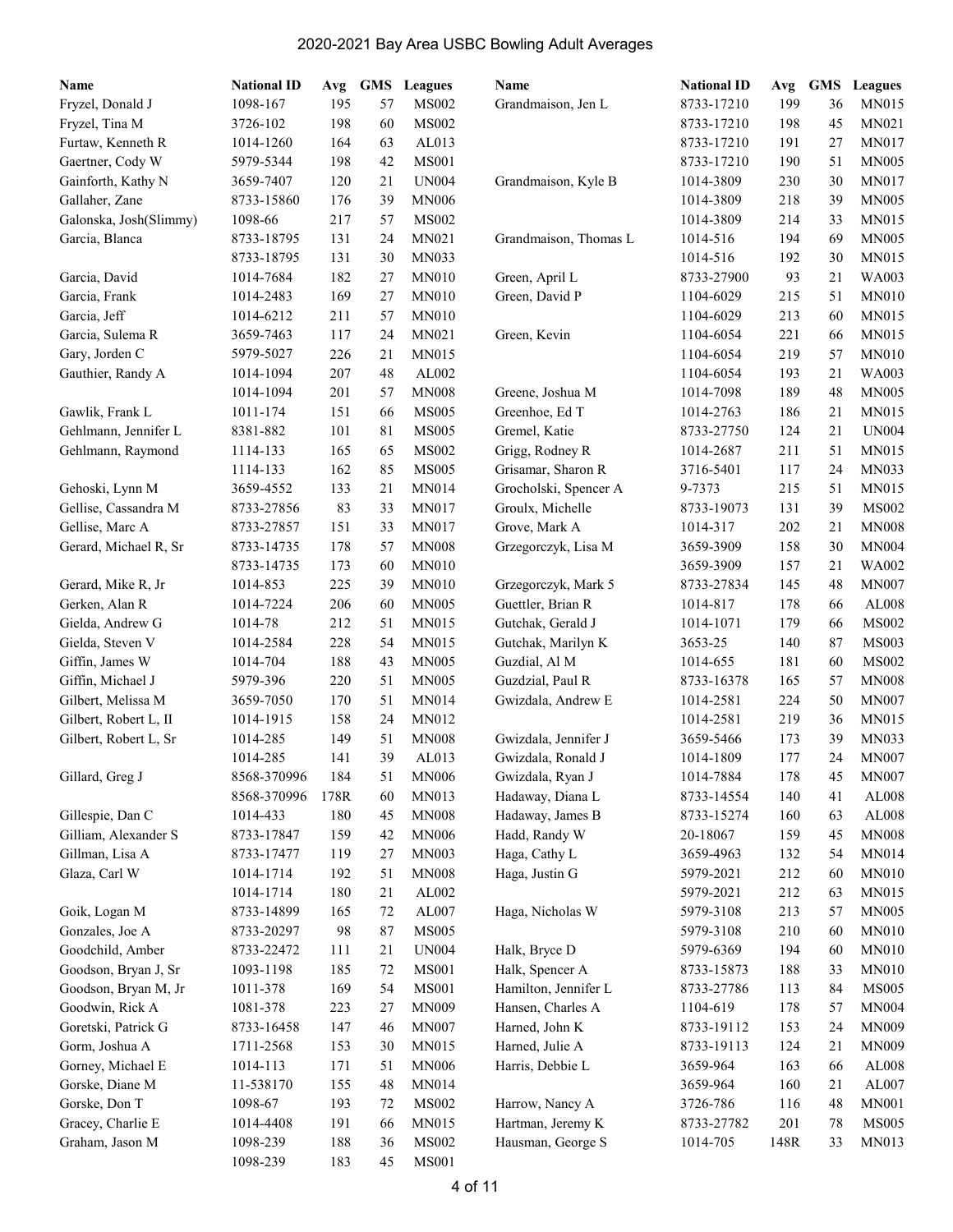| Name                   | <b>National ID</b>         | Avg  | GMS | Leagues      | Name                                       | <b>National ID</b>      | Avg  | <b>GMS</b> | Leagues        |
|------------------------|----------------------------|------|-----|--------------|--------------------------------------------|-------------------------|------|------------|----------------|
| Fryzel, Donald J       | 1098-167                   | 195  | 57  | <b>MS002</b> | Grandmaison, Jen L                         | 8733-17210              | 199  | 36         | <b>MN015</b>   |
| Fryzel, Tina M         | 3726-102                   | 198  | 60  | <b>MS002</b> |                                            | 8733-17210              | 198  | 45         | MN021          |
| Furtaw, Kenneth R      | 1014-1260                  | 164  | 63  | AL013        |                                            | 8733-17210              | 191  | 27         | MN017          |
| Gaertner, Cody W       | 5979-5344                  | 198  | 42  | <b>MS001</b> |                                            | 8733-17210              | 190  | 51         | <b>MN005</b>   |
| Gainforth, Kathy N     | 3659-7407                  | 120  | 21  | <b>UN004</b> | Grandmaison, Kyle B                        | 1014-3809               | 230  | 30         | MN017          |
| Gallaher, Zane         | 8733-15860                 | 176  | 39  | <b>MN006</b> |                                            | 1014-3809               | 218  | 39         | <b>MN005</b>   |
| Galonska, Josh(Slimmy) | 1098-66                    | 217  | 57  | <b>MS002</b> |                                            | 1014-3809               | 214  | 33         | MN015          |
| Garcia, Blanca         | 8733-18795                 | 131  | 24  | MN021        | Grandmaison, Thomas L                      | 1014-516                | 194  | 69         | <b>MN005</b>   |
|                        | 8733-18795                 | 131  | 30  | MN033        |                                            | 1014-516                | 192  | 30         | MN015          |
| Garcia, David          | 1014-7684                  | 182  | 27  | <b>MN010</b> | Green, April L                             | 8733-27900              | 93   | 21         | <b>WA003</b>   |
| Garcia, Frank          | 1014-2483                  | 169  | 27  | <b>MN010</b> | Green, David P                             | 1104-6029               | 215  | 51         | <b>MN010</b>   |
| Garcia, Jeff           | 1014-6212                  | 211  | 57  | <b>MN010</b> |                                            | 1104-6029               | 213  | 60         | <b>MN015</b>   |
| Garcia, Sulema R       | 3659-7463                  | 117  | 24  | MN021        | Green, Kevin                               | 1104-6054               | 221  | 66         | <b>MN015</b>   |
| Gary, Jorden C         | 5979-5027                  | 226  | 21  | MN015        |                                            | 1104-6054               | 219  | 57         | <b>MN010</b>   |
| Gauthier, Randy A      | 1014-1094                  | 207  | 48  | AL002        |                                            | 1104-6054               | 193  | 21         | WA003          |
|                        | 1014-1094                  | 201  | 57  | <b>MN008</b> | Greene, Joshua M                           | 1014-7098               | 189  | 48         | <b>MN005</b>   |
| Gawlik, Frank L        | 1011-174                   | 151  | 66  | <b>MS005</b> | Greenhoe, Ed T                             | 1014-2763               | 186  | 21         | MN015          |
| Gehlmann, Jennifer L   | 8381-882                   | 101  | 81  | <b>MS005</b> | Gremel, Katie                              | 8733-27750              | 124  | 21         | <b>UN004</b>   |
| Gehlmann, Raymond      | 1114-133                   | 165  | 65  | <b>MS002</b> | Grigg, Rodney R                            | 1014-2687               | 211  | 51         | MN015          |
|                        | 1114-133                   | 162  | 85  | <b>MS005</b> | Grisamar, Sharon R                         | 3716-5401               | 117  | 24         | MN033          |
| Gehoski, Lynn M        | 3659-4552                  | 133  | 21  | <b>MN014</b> | Grocholski, Spencer A                      | 9-7373                  | 215  | 51         | MN015          |
| Gellise, Cassandra M   | 8733-27856                 | 83   | 33  | <b>MN017</b> | Groulx, Michelle                           | 8733-19073              | 131  | 39         | <b>MS002</b>   |
| Gellise, Marc A        | 8733-27857                 | 151  | 33  | MN017        | Grove, Mark A                              | 1014-317                | 202  | 21         | <b>MN008</b>   |
| Gerard, Michael R, Sr  | 8733-14735                 | 178  | 57  | <b>MN008</b> | Grzegorczyk, Lisa M                        | 3659-3909               | 158  | 30         | <b>MN004</b>   |
|                        | 8733-14735                 | 173  | 60  | <b>MN010</b> |                                            | 3659-3909               | 157  | 21         | WA002          |
| Gerard, Mike R, Jr     | 1014-853                   | 225  | 39  | <b>MN010</b> | Grzegorczyk, Mark 5                        | 8733-27834              | 145  | 48         | <b>MN007</b>   |
| Gerken, Alan R         | 1014-7224                  | 206  | 60  | <b>MN005</b> | Guettler, Brian R                          | 1014-817                | 178  | 66         | AL008          |
| Gielda, Andrew G       | 1014-78                    | 212  | 51  | MN015        | Gutchak, Gerald J                          | 1014-1071               | 179  | 66         | <b>MS002</b>   |
| Gielda, Steven V       | 1014-2584                  | 228  | 54  | MN015        | Gutchak, Marilyn K                         | 3653-25                 | 140  | 87         | <b>MS003</b>   |
| Giffin, James W        | 1014-704                   | 188  | 43  | <b>MN005</b> | Guzdial, Al M                              | 1014-655                | 181  | 60         | <b>MS002</b>   |
| Giffin, Michael J      | 5979-396                   | 220  | 51  | <b>MN005</b> | Guzdzial, Paul R                           | 8733-16378              | 165  | 57         | <b>MN008</b>   |
| Gilbert, Melissa M     | 3659-7050                  | 170  | 51  | MN014        | Gwizdala, Andrew E                         | 1014-2581               | 224  | 50         | <b>MN007</b>   |
| Gilbert, Robert L, II  |                            | 158  | 24  | MN012        |                                            |                         | 219  | 36         | MN015          |
| Gilbert, Robert L, Sr  | 1014-1915                  | 149  | 51  | <b>MN008</b> |                                            | 1014-2581               | 173  | 39         | MN033          |
|                        | 1014-285                   | 141  | 39  | AL013        | Gwizdala, Jennifer J<br>Gwizdala, Ronald J | 3659-5466               | 177  | 24         | <b>MN007</b>   |
| Gillard, Greg J        | 1014-285                   |      |     |              |                                            | 1014-1809               |      |            |                |
|                        | 8568-370996<br>8568-370996 | 184  | 51  | <b>MN006</b> | Gwizdala, Ryan J                           | 1014-7884<br>8733-14554 | 178  | 45         | <b>MN007</b>   |
|                        |                            | 178R | 60  | MN013        | Hadaway, Diana L                           |                         | 140  | 41         | AL008<br>AL008 |
| Gillespie, Dan C       | 1014-433                   | 180  | 45  | <b>MN008</b> | Hadaway, James B                           | 8733-15274              | 160  | 63         |                |
| Gilliam, Alexander S   | 8733-17847                 | 159  | 42  | <b>MN006</b> | Hadd, Randy W                              | 20-18067                | 159  | 45         | <b>MN008</b>   |
| Gillman, Lisa A        | 8733-17477                 | 119  | 27  | <b>MN003</b> | Haga, Cathy L                              | 3659-4963               | 132  | 54         | MN014          |
| Glaza, Carl W          | 1014-1714                  | 192  | 51  | <b>MN008</b> | Haga, Justin G                             | 5979-2021               | 212  | 60         | <b>MN010</b>   |
|                        | 1014-1714                  | 180  | 21  | AL002        |                                            | 5979-2021               | 212  | 63         | MN015          |
| Goik, Logan M          | 8733-14899                 | 165  | 72  | AL007        | Haga, Nicholas W                           | 5979-3108               | 213  | 57         | <b>MN005</b>   |
| Gonzales, Joe A        | 8733-20297                 | 98   | 87  | <b>MS005</b> |                                            | 5979-3108               | 210  | 60         | <b>MN010</b>   |
| Goodchild, Amber       | 8733-22472                 | 111  | 21  | <b>UN004</b> | Halk, Bryce D                              | 5979-6369               | 194  | 60         | <b>MN010</b>   |
| Goodson, Bryan J, Sr   | 1093-1198                  | 185  | 72  | <b>MS001</b> | Halk, Spencer A                            | 8733-15873              | 188  | 33         | <b>MN010</b>   |
| Goodson, Bryan M, Jr   | 1011-378                   | 169  | 54  | <b>MS001</b> | Hamilton, Jennifer L                       | 8733-27786              | 113  | 84         | <b>MS005</b>   |
| Goodwin, Rick A        | 1081-378                   | 223  | 27  | MN009        | Hansen, Charles A                          | 1104-619                | 178  | 57         | <b>MN004</b>   |
| Goretski, Patrick G    | 8733-16458                 | 147  | 46  | MN007        | Harned, John K                             | 8733-19112              | 153  | 24         | MN009          |
| Gorm, Joshua A         | 1711-2568                  | 153  | 30  | MN015        | Harned, Julie A                            | 8733-19113              | 124  | 21         | MN009          |
| Gorney, Michael E      | 1014-113                   | 171  | 51  | <b>MN006</b> | Harris, Debbie L                           | 3659-964                | 163  | 66         | AL008          |
| Gorske, Diane M        | 11-538170                  | 155  | 48  | MN014        |                                            | 3659-964                | 160  | 21         | AL007          |
| Gorske, Don T          | 1098-67                    | 193  | 72  | <b>MS002</b> | Harrow, Nancy A                            | 3726-786                | 116  | 48         | <b>MN001</b>   |
| Gracey, Charlie E      | 1014-4408                  | 191  | 66  | MN015        | Hartman, Jeremy K                          | 8733-27782              | 201  | 78         | <b>MS005</b>   |
| Graham, Jason M        | 1098-239                   | 188  | 36  | $\rm MS002$  | Hausman, George S                          | 1014-705                | 148R | 33         | MN013          |
|                        | 1098-239                   | 183  | 45  | <b>MS001</b> |                                            |                         |      |            |                |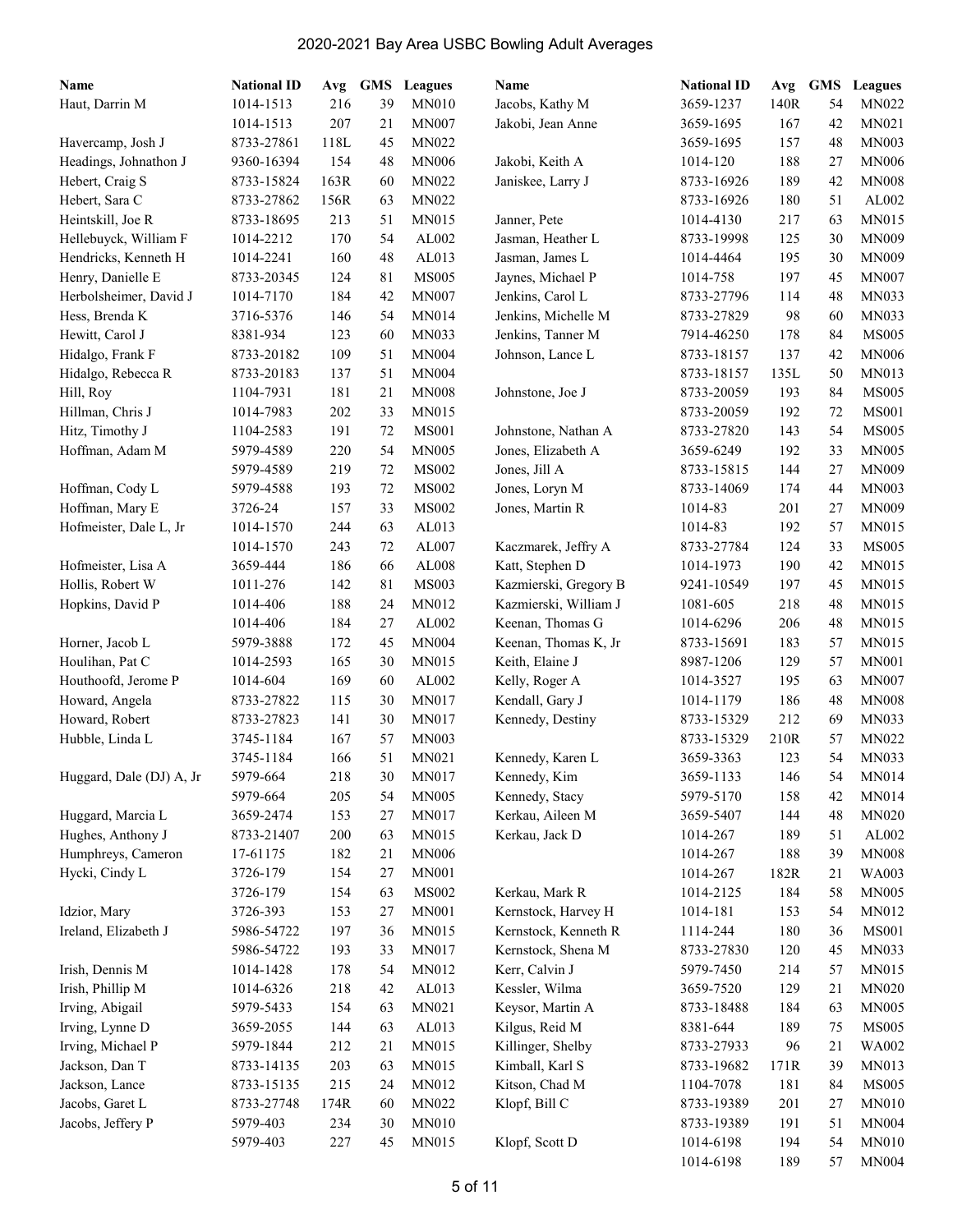| Name                     | <b>National ID</b>     | Avg  | <b>GMS</b> | <b>Leagues</b> | Name                  | <b>National ID</b>       |            | Avg GMS | <b>Leagues</b> |
|--------------------------|------------------------|------|------------|----------------|-----------------------|--------------------------|------------|---------|----------------|
| Haut, Darrin M           | 1014-1513              | 216  | 39         | <b>MN010</b>   | Jacobs, Kathy M       | 3659-1237                | 140R       | 54      | <b>MN022</b>   |
|                          | 1014-1513              | 207  | 21         | <b>MN007</b>   | Jakobi, Jean Anne     | 3659-1695                | 167        | 42      | MN021          |
| Havercamp, Josh J        | 8733-27861             | 118L | 45         | <b>MN022</b>   |                       | 3659-1695                | 157        | 48      | <b>MN003</b>   |
| Headings, Johnathon J    | 9360-16394             | 154  | 48         | <b>MN006</b>   | Jakobi, Keith A       | 1014-120                 | 188        | 27      | <b>MN006</b>   |
| Hebert, Craig S          | 8733-15824             | 163R | 60         | MN022          | Janiskee, Larry J     | 8733-16926               | 189        | 42      | <b>MN008</b>   |
| Hebert, Sara C           | 8733-27862             | 156R | 63         | <b>MN022</b>   |                       | 8733-16926               | 180        | 51      | AL002          |
| Heintskill, Joe R        | 8733-18695             | 213  | 51         | <b>MN015</b>   | Janner, Pete          | 1014-4130                | 217        | 63      | <b>MN015</b>   |
| Hellebuyck, William F    | 1014-2212              | 170  | 54         | AL002          | Jasman, Heather L     | 8733-19998               | 125        | 30      | <b>MN009</b>   |
| Hendricks, Kenneth H     | 1014-2241              | 160  | 48         | AL013          | Jasman, James L       | 1014-4464                | 195        | 30      | <b>MN009</b>   |
| Henry, Danielle E        | 8733-20345             | 124  | 81         | <b>MS005</b>   | Jaynes, Michael P     | 1014-758                 | 197        | 45      | <b>MN007</b>   |
| Herbolsheimer, David J   | 1014-7170              | 184  | 42         | <b>MN007</b>   | Jenkins, Carol L      | 8733-27796               | 114        | 48      | <b>MN033</b>   |
| Hess, Brenda K           | 3716-5376              | 146  | 54         | <b>MN014</b>   | Jenkins, Michelle M   | 8733-27829               | 98         | 60      | MN033          |
| Hewitt, Carol J          | 8381-934               | 123  | 60         | <b>MN033</b>   | Jenkins, Tanner M     | 7914-46250               | 178        | 84      | <b>MS005</b>   |
| Hidalgo, Frank F         | 8733-20182             | 109  | 51         | <b>MN004</b>   | Johnson, Lance L      | 8733-18157               | 137        | 42      | <b>MN006</b>   |
| Hidalgo, Rebecca R       | 8733-20183             | 137  | 51         | <b>MN004</b>   |                       | 8733-18157               | 135L       | 50      | MN013          |
| Hill, Roy                | 1104-7931              | 181  | 21         | <b>MN008</b>   | Johnstone, Joe J      | 8733-20059               | 193        | 84      | <b>MS005</b>   |
| Hillman, Chris J         | 1014-7983              | 202  | 33         | <b>MN015</b>   |                       | 8733-20059               | 192        | 72      | <b>MS001</b>   |
| Hitz, Timothy J          | 1104-2583              | 191  | 72         | <b>MS001</b>   | Johnstone, Nathan A   | 8733-27820               | 143        | 54      | <b>MS005</b>   |
| Hoffman, Adam M          | 5979-4589              | 220  | 54         | <b>MN005</b>   | Jones, Elizabeth A    | 3659-6249                | 192        | 33      | MN005          |
|                          |                        | 219  | 72         | <b>MS002</b>   |                       |                          |            | 27      | MN009          |
|                          | 5979-4589<br>5979-4588 | 193  | 72         | <b>MS002</b>   | Jones, Jill A         | 8733-15815<br>8733-14069 | 144<br>174 | 44      | <b>MN003</b>   |
| Hoffman, Cody L          | 3726-24                |      |            |                | Jones, Loryn M        |                          |            |         |                |
| Hoffman, Mary E          |                        | 157  | 33         | <b>MS002</b>   | Jones, Martin R       | 1014-83                  | 201        | 27      | <b>MN009</b>   |
| Hofmeister, Dale L, Jr   | 1014-1570              | 244  | 63         | AL013          |                       | 1014-83                  | 192        | 57      | MN015          |
|                          | 1014-1570              | 243  | 72         | AL007          | Kaczmarek, Jeffry A   | 8733-27784               | 124        | 33      | <b>MS005</b>   |
| Hofmeister, Lisa A       | 3659-444               | 186  | 66         | AL008          | Katt, Stephen D       | 1014-1973                | 190        | 42      | <b>MN015</b>   |
| Hollis, Robert W         | 1011-276               | 142  | 81         | <b>MS003</b>   | Kazmierski, Gregory B | 9241-10549               | 197        | 45      | <b>MN015</b>   |
| Hopkins, David P         | 1014-406               | 188  | 24         | <b>MN012</b>   | Kazmierski, William J | 1081-605                 | 218        | 48      | MN015          |
|                          | 1014-406               | 184  | 27         | AL002          | Keenan, Thomas G      | 1014-6296                | 206        | 48      | <b>MN015</b>   |
| Horner, Jacob L          | 5979-3888              | 172  | 45         | <b>MN004</b>   | Keenan, Thomas K, Jr  | 8733-15691               | 183        | 57      | MN015          |
| Houlihan, Pat C          | 1014-2593              | 165  | 30         | <b>MN015</b>   | Keith, Elaine J       | 8987-1206                | 129        | 57      | <b>MN001</b>   |
| Houthoofd, Jerome P      | 1014-604               | 169  | 60         | AL002          | Kelly, Roger A        | 1014-3527                | 195        | 63      | <b>MN007</b>   |
| Howard, Angela           | 8733-27822             | 115  | 30         | MN017          | Kendall, Gary J       | 1014-1179                | 186        | 48      | <b>MN008</b>   |
| Howard, Robert           | 8733-27823             | 141  | 30         | MN017          | Kennedy, Destiny      | 8733-15329               | 212        | 69      | MN033          |
| Hubble, Linda L          | 3745-1184              | 167  | 57         | <b>MN003</b>   |                       | 8733-15329               | 210R       | 57      | <b>MN022</b>   |
|                          | 3745-1184              | 166  | 51         | <b>MN021</b>   | Kennedy, Karen L      | 3659-3363                | 123        | 54      | MN033          |
| Huggard, Dale (DJ) A, Jr | 5979-664               | 218  | 30         | MN017          | Kennedy, Kim          | 3659-1133                | 146        | 54      | MN014          |
|                          | 5979-664               | 205  | 54         | MN005          | Kennedy, Stacy        | 5979-5170                | 158        | 42      | MN014          |
| Huggard, Marcia L        | 3659-2474              | 153  | 27         | MN017          | Kerkau, Aileen M      | 3659-5407                | 144        | 48      | <b>MN020</b>   |
| Hughes, Anthony J        | 8733-21407             | 200  | 63         | MN015          | Kerkau, Jack D        | 1014-267                 | 189        | 51      | AL002          |
| Humphreys, Cameron       | 17-61175               | 182  | 21         | <b>MN006</b>   |                       | 1014-267                 | 188        | 39      | <b>MN008</b>   |
| Hycki, Cindy L           | 3726-179               | 154  | 27         | <b>MN001</b>   |                       | 1014-267                 | 182R       | 21      | WA003          |
|                          | 3726-179               | 154  | 63         | <b>MS002</b>   | Kerkau, Mark R        | 1014-2125                | 184        | 58      | <b>MN005</b>   |
| Idzior, Mary             | 3726-393               | 153  | 27         | <b>MN001</b>   | Kernstock, Harvey H   | 1014-181                 | 153        | 54      | <b>MN012</b>   |
| Ireland, Elizabeth J     | 5986-54722             | 197  | 36         | MN015          | Kernstock, Kenneth R  | 1114-244                 | 180        | 36      | <b>MS001</b>   |
|                          | 5986-54722             | 193  | 33         | MN017          | Kernstock, Shena M    | 8733-27830               | 120        | 45      | MN033          |
| Irish, Dennis M          | 1014-1428              | 178  | 54         | MN012          | Kerr, Calvin J        | 5979-7450                | 214        | 57      | MN015          |
| Irish, Phillip M         | 1014-6326              | 218  | 42         | AL013          | Kessler, Wilma        | 3659-7520                | 129        | 21      | MN020          |
| Irving, Abigail          | 5979-5433              | 154  | 63         | MN021          | Keysor, Martin A      | 8733-18488               | 184        | 63      | MN005          |
| Irving, Lynne D          | 3659-2055              | 144  | 63         | AL013          | Kilgus, Reid M        | 8381-644                 | 189        | 75      | <b>MS005</b>   |
| Irving, Michael P        | 5979-1844              | 212  | 21         | MN015          | Killinger, Shelby     | 8733-27933               | 96         | 21      | WA002          |
| Jackson, Dan T           | 8733-14135             | 203  | 63         | MN015          | Kimball, Karl S       | 8733-19682               | 171R       | 39      | MN013          |
| Jackson, Lance           | 8733-15135             | 215  | 24         | MN012          | Kitson, Chad M        | 1104-7078                | 181        | 84      | <b>MS005</b>   |
| Jacobs, Garet L          | 8733-27748             | 174R | 60         | MN022          | Klopf, Bill C         | 8733-19389               | 201        | 27      | MN010          |
| Jacobs, Jeffery P        | 5979-403               | 234  | 30         | <b>MN010</b>   |                       | 8733-19389               | 191        | 51      | <b>MN004</b>   |
|                          | 5979-403               | 227  | 45         | MN015          | Klopf, Scott D        | 1014-6198                | 194        | 54      | <b>MN010</b>   |
|                          |                        |      |            |                |                       | 1014-6198                | 189        | 57      | MN004          |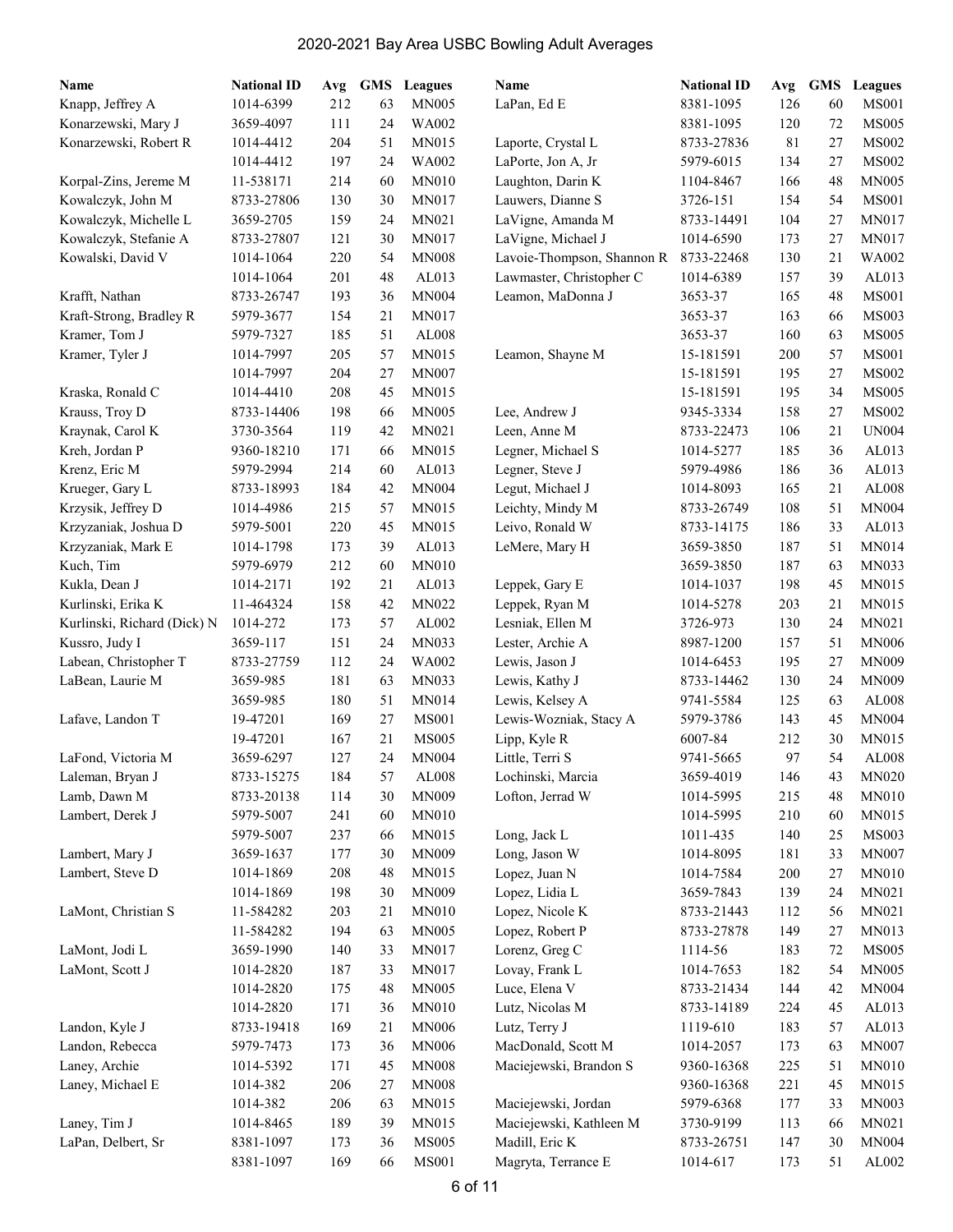| Name                        | <b>National ID</b> | Avg | <b>GMS</b> | <b>Leagues</b> | Name                       | <b>National ID</b> | Avg | <b>GMS</b> | <b>Leagues</b> |
|-----------------------------|--------------------|-----|------------|----------------|----------------------------|--------------------|-----|------------|----------------|
| Knapp, Jeffrey A            | 1014-6399          | 212 | 63         | <b>MN005</b>   | LaPan, Ed E                | 8381-1095          | 126 | 60         | <b>MS001</b>   |
| Konarzewski, Mary J         | 3659-4097          | 111 | 24         | WA002          |                            | 8381-1095          | 120 | 72         | <b>MS005</b>   |
| Konarzewski, Robert R       | 1014-4412          | 204 | 51         | MN015          | Laporte, Crystal L         | 8733-27836         | 81  | 27         | <b>MS002</b>   |
|                             | 1014-4412          | 197 | 24         | WA002          | LaPorte, Jon A, Jr         | 5979-6015          | 134 | 27         | <b>MS002</b>   |
| Korpal-Zins, Jereme M       | 11-538171          | 214 | 60         | <b>MN010</b>   | Laughton, Darin K          | 1104-8467          | 166 | 48         | <b>MN005</b>   |
| Kowalczyk, John M           | 8733-27806         | 130 | 30         | <b>MN017</b>   | Lauwers, Dianne S          | 3726-151           | 154 | 54         | <b>MS001</b>   |
| Kowalczyk, Michelle L       | 3659-2705          | 159 | 24         | MN021          | LaVigne, Amanda M          | 8733-14491         | 104 | 27         | <b>MN017</b>   |
| Kowalczyk, Stefanie A       | 8733-27807         | 121 | 30         | <b>MN017</b>   | LaVigne, Michael J         | 1014-6590          | 173 | 27         | <b>MN017</b>   |
| Kowalski, David V           | 1014-1064          | 220 | 54         | <b>MN008</b>   | Lavoie-Thompson, Shannon R | 8733-22468         | 130 | 21         | <b>WA002</b>   |
|                             | 1014-1064          | 201 | 48         | AL013          | Lawmaster, Christopher C   | 1014-6389          | 157 | 39         | AL013          |
| Krafft, Nathan              | 8733-26747         | 193 | 36         | <b>MN004</b>   | Leamon, MaDonna J          | 3653-37            | 165 | 48         | <b>MS001</b>   |
| Kraft-Strong, Bradley R     | 5979-3677          | 154 | 21         | MN017          |                            | 3653-37            | 163 | 66         | <b>MS003</b>   |
| Kramer, Tom J               | 5979-7327          | 185 | 51         | AL008          |                            | 3653-37            | 160 | 63         | <b>MS005</b>   |
| Kramer, Tyler J             | 1014-7997          | 205 | 57         | <b>MN015</b>   | Leamon, Shayne M           | 15-181591          | 200 | 57         | <b>MS001</b>   |
|                             | 1014-7997          | 204 | 27         | <b>MN007</b>   |                            | 15-181591          | 195 | 27         | <b>MS002</b>   |
| Kraska, Ronald C            | 1014-4410          | 208 | 45         | MN015          |                            | 15-181591          | 195 | 34         | <b>MS005</b>   |
| Krauss, Troy D              | 8733-14406         | 198 | 66         | <b>MN005</b>   | Lee, Andrew J              | 9345-3334          | 158 | 27         | <b>MS002</b>   |
| Kraynak, Carol K            | 3730-3564          | 119 | 42         | MN021          | Leen, Anne M               | 8733-22473         | 106 | 21         | <b>UN004</b>   |
| Kreh, Jordan P              | 9360-18210         | 171 | 66         | MN015          | Legner, Michael S          | 1014-5277          | 185 | 36         | AL013          |
| Krenz, Eric M               | 5979-2994          | 214 | 60         | AL013          | Legner, Steve J            | 5979-4986          | 186 | 36         | AL013          |
| Krueger, Gary L             | 8733-18993         | 184 | 42         | <b>MN004</b>   | Legut, Michael J           | 1014-8093          | 165 | 21         | AL008          |
| Krzysik, Jeffrey D          | 1014-4986          | 215 | 57         | MN015          | Leichty, Mindy M           | 8733-26749         | 108 | 51         | <b>MN004</b>   |
| Krzyzaniak, Joshua D        | 5979-5001          | 220 | 45         | MN015          | Leivo, Ronald W            | 8733-14175         | 186 | 33         | AL013          |
| Krzyzaniak, Mark E          | 1014-1798          | 173 | 39         | AL013          | LeMere, Mary H             | 3659-3850          | 187 | 51         | <b>MN014</b>   |
| Kuch, Tim                   | 5979-6979          | 212 | 60         | <b>MN010</b>   |                            | 3659-3850          | 187 | 63         | MN033          |
| Kukla, Dean J               | 1014-2171          | 192 | 21         | AL013          | Leppek, Gary E             | 1014-1037          | 198 | 45         | MN015          |
| Kurlinski, Erika K          | 11-464324          | 158 | 42         | MN022          | Leppek, Ryan M             | 1014-5278          | 203 | 21         | MN015          |
| Kurlinski, Richard (Dick) N | 1014-272           | 173 | 57         | AL002          | Lesniak, Ellen M           | 3726-973           | 130 | 24         | MN021          |
| Kussro, Judy I              | 3659-117           | 151 | 24         | MN033          | Lester, Archie A           | 8987-1200          | 157 | 51         | <b>MN006</b>   |
| Labean, Christopher T       | 8733-27759         | 112 | 24         | <b>WA002</b>   | Lewis, Jason J             | 1014-6453          | 195 | 27         | <b>MN009</b>   |
| LaBean, Laurie M            | 3659-985           | 181 | 63         | MN033          | Lewis, Kathy J             | 8733-14462         | 130 | 24         | <b>MN009</b>   |
|                             | 3659-985           | 180 | 51         | MN014          | Lewis, Kelsey A            | 9741-5584          | 125 | 63         | AL008          |
| Lafave, Landon T            | 19-47201           | 169 | 27         | <b>MS001</b>   | Lewis-Wozniak, Stacy A     | 5979-3786          | 143 | 45         | <b>MN004</b>   |
|                             | 19-47201           | 167 | 21         | <b>MS005</b>   | Lipp, Kyle R               | 6007-84            | 212 | 30         | MN015          |
| LaFond, Victoria M          | 3659-6297          | 127 | 24         | <b>MN004</b>   | Little, Terri S            | 9741-5665          | 97  | 54         | AL008          |
| Laleman, Bryan J            | 8733-15275         | 184 | 57         | AL008          | Lochinski, Marcia          | 3659-4019          | 146 | 43         | MN020          |
| Lamb, Dawn M                | 8733-20138         | 114 | 30         | MN009          | Lofton, Jerrad W           | 1014-5995          | 215 | 48         | <b>MN010</b>   |
| Lambert, Derek J            | 5979-5007          | 241 | 60         | MN010          |                            | 1014-5995          | 210 | 60         | MN015          |
|                             | 5979-5007          | 237 | 66         | MN015          | Long, Jack L               | 1011-435           | 140 | 25         | <b>MS003</b>   |
| Lambert, Mary J             | 3659-1637          | 177 | 30         | <b>MN009</b>   | Long, Jason W              | 1014-8095          | 181 | 33         | <b>MN007</b>   |
| Lambert, Steve D            | 1014-1869          | 208 | 48         | MN015          | Lopez, Juan N              | 1014-7584          | 200 | 27         | <b>MN010</b>   |
|                             | 1014-1869          | 198 | 30         | <b>MN009</b>   | Lopez, Lidia L             | 3659-7843          | 139 | 24         | MN021          |
| LaMont, Christian S         | 11-584282          | 203 | 21         | <b>MN010</b>   | Lopez, Nicole K            | 8733-21443         | 112 | 56         | MN021          |
|                             | 11-584282          | 194 | 63         | <b>MN005</b>   | Lopez, Robert P            | 8733-27878         | 149 | 27         | MN013          |
| LaMont, Jodi L              | 3659-1990          | 140 | 33         | <b>MN017</b>   | Lorenz, Greg C             | 1114-56            | 183 | 72         | <b>MS005</b>   |
| LaMont, Scott J             | 1014-2820          | 187 | 33         | MN017          | Lovay, Frank L             | 1014-7653          | 182 | 54         | MN005          |
|                             | 1014-2820          | 175 | 48         | MN005          | Luce, Elena V              | 8733-21434         | 144 | 42         | MN004          |
|                             | 1014-2820          | 171 | 36         | MN010          | Lutz, Nicolas M            | 8733-14189         | 224 | 45         | AL013          |
| Landon, Kyle J              | 8733-19418         | 169 | 21         | <b>MN006</b>   | Lutz, Terry J              | 1119-610           | 183 | 57         | AL013          |
| Landon, Rebecca             | 5979-7473          | 173 | 36         | <b>MN006</b>   | MacDonald, Scott M         | 1014-2057          | 173 | 63         | <b>MN007</b>   |
| Laney, Archie               | 1014-5392          | 171 | 45         | <b>MN008</b>   | Maciejewski, Brandon S     | 9360-16368         | 225 | 51         | <b>MN010</b>   |
| Laney, Michael E            | 1014-382           | 206 | 27         | <b>MN008</b>   |                            | 9360-16368         | 221 | 45         | MN015          |
|                             | 1014-382           | 206 | 63         | MN015          | Maciejewski, Jordan        | 5979-6368          | 177 | 33         | MN003          |
| Laney, Tim J                | 1014-8465          | 189 | 39         | MN015          | Maciejewski, Kathleen M    | 3730-9199          | 113 | 66         | MN021          |
| LaPan, Delbert, Sr          | 8381-1097          | 173 | 36         | <b>MS005</b>   | Madill, Eric K             | 8733-26751         | 147 | 30         | <b>MN004</b>   |
|                             | 8381-1097          | 169 | 66         | <b>MS001</b>   | Magryta, Terrance E        | 1014-617           | 173 | 51         | AL002          |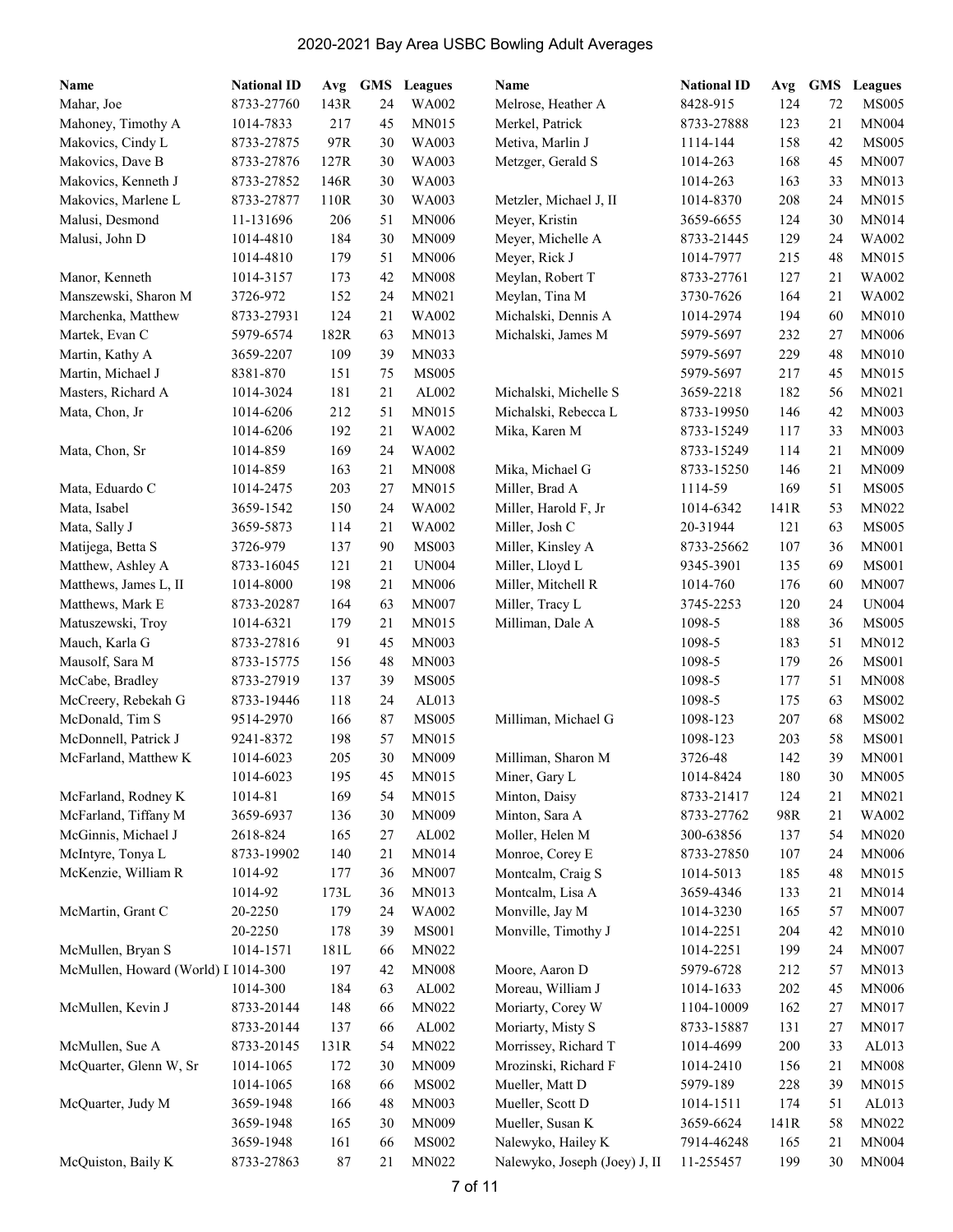| Name                                | <b>National ID</b> | Avg      | <b>GMS</b> | <b>Leagues</b> | Name                          | <b>National ID</b> | Avg  | <b>GMS</b> | Leagues      |
|-------------------------------------|--------------------|----------|------------|----------------|-------------------------------|--------------------|------|------------|--------------|
| Mahar, Joe                          | 8733-27760         | 143R     | 24         | WA002          | Melrose, Heather A            | 8428-915           | 124  | 72         | <b>MS005</b> |
| Mahoney, Timothy A                  | 1014-7833          | 217      | 45         | MN015          | Merkel, Patrick               | 8733-27888         | 123  | 21         | MN004        |
| Makovics, Cindy L                   | 8733-27875         | 97R      | 30         | WA003          | Metiva, Marlin J              | 1114-144           | 158  | 42         | <b>MS005</b> |
| Makovics, Dave B                    | 8733-27876         | 127R     | 30         | WA003          | Metzger, Gerald S             | 1014-263           | 168  | 45         | <b>MN007</b> |
| Makovics, Kenneth J                 | 8733-27852         | 146R     | 30         | WA003          |                               | 1014-263           | 163  | 33         | MN013        |
| Makovics, Marlene L                 | 8733-27877         | 110R     | 30         | WA003          | Metzler, Michael J, II        | 1014-8370          | 208  | 24         | MN015        |
| Malusi, Desmond                     | 11-131696          | 206      | 51         | <b>MN006</b>   | Meyer, Kristin                | 3659-6655          | 124  | 30         | MN014        |
| Malusi, John D                      | 1014-4810          | 184      | 30         | MN009          | Meyer, Michelle A             | 8733-21445         | 129  | 24         | WA002        |
|                                     | 1014-4810          | 179      | 51         | <b>MN006</b>   | Meyer, Rick J                 | 1014-7977          | 215  | 48         | MN015        |
| Manor, Kenneth                      | 1014-3157          | 173      | 42         | <b>MN008</b>   | Meylan, Robert T              | 8733-27761         | 127  | 21         | <b>WA002</b> |
| Manszewski, Sharon M                | 3726-972           | 152      | 24         | MN021          | Meylan, Tina M                | 3730-7626          | 164  | 21         | WA002        |
| Marchenka, Matthew                  | 8733-27931         | 124      | 21         | WA002          | Michalski, Dennis A           | 1014-2974          | 194  | 60         | MN010        |
| Martek, Evan C                      | 5979-6574          | 182R     | 63         | <b>MN013</b>   | Michalski, James M            | 5979-5697          | 232  | 27         | <b>MN006</b> |
| Martin, Kathy A                     | 3659-2207          | 109      | 39         | <b>MN033</b>   |                               | 5979-5697          | 229  | 48         | <b>MN010</b> |
| Martin, Michael J                   | 8381-870           | 151      | 75         | <b>MS005</b>   |                               | 5979-5697          | 217  | 45         | <b>MN015</b> |
| Masters, Richard A                  | 1014-3024          | 181      | 21         | AL002          | Michalski, Michelle S         | 3659-2218          | 182  | 56         | MN021        |
| Mata, Chon, Jr                      | 1014-6206          | 212      | 51         | MN015          | Michalski, Rebecca L          | 8733-19950         | 146  | 42         | <b>MN003</b> |
|                                     | 1014-6206          | 192      | 21         | WA002          | Mika, Karen M                 | 8733-15249         | 117  | 33         | <b>MN003</b> |
| Mata, Chon, Sr                      | 1014-859           | 169      | 24         | WA002          |                               | 8733-15249         | 114  | 21         | <b>MN009</b> |
|                                     | 1014-859           | 163      | 21         | <b>MN008</b>   | Mika, Michael G               | 8733-15250         | 146  | 21         | <b>MN009</b> |
| Mata, Eduardo C                     | 1014-2475          | 203      | 27         | MN015          | Miller, Brad A                | 1114-59            | 169  | 51         | <b>MS005</b> |
| Mata, Isabel                        | 3659-1542          | 150      | 24         | WA002          | Miller, Harold F, Jr          | 1014-6342          | 141R | 53         | <b>MN022</b> |
| Mata, Sally J                       | 3659-5873          | 114      | 21         | WA002          | Miller, Josh C                | 20-31944           | 121  | 63         | <b>MS005</b> |
| Matijega, Betta S                   | 3726-979           | 137      | 90         | <b>MS003</b>   | Miller, Kinsley A             | 8733-25662         | 107  | 36         | <b>MN001</b> |
| Matthew, Ashley A                   | 8733-16045         | 121      | 21         | <b>UN004</b>   | Miller, Lloyd L               | 9345-3901          | 135  | 69         | <b>MS001</b> |
| Matthews, James L, II               | 1014-8000          | 198      | 21         | <b>MN006</b>   | Miller, Mitchell R            | 1014-760           | 176  | 60         | <b>MN007</b> |
| Matthews, Mark E                    | 8733-20287         | 164      | 63         | <b>MN007</b>   | Miller, Tracy L               | 3745-2253          | 120  | 24         | <b>UN004</b> |
| Matuszewski, Troy                   | 1014-6321          | 179      | 21         | <b>MN015</b>   | Milliman, Dale A              | 1098-5             | 188  | 36         | <b>MS005</b> |
| Mauch, Karla G                      | 8733-27816         | 91       | 45         | <b>MN003</b>   |                               | 1098-5             | 183  | 51         | MN012        |
| Mausolf, Sara M                     | 8733-15775         | 156      | 48         | <b>MN003</b>   |                               | 1098-5             | 179  | 26         | <b>MS001</b> |
| McCabe, Bradley                     | 8733-27919         | 137      | 39         | <b>MS005</b>   |                               | 1098-5             | 177  | 51         | <b>MN008</b> |
| McCreery, Rebekah G                 | 8733-19446         | 118      | 24         | AL013          |                               | 1098-5             | 175  | 63         | <b>MS002</b> |
| McDonald, Tim S                     | 9514-2970          | 166      | 87         | <b>MS005</b>   | Milliman, Michael G           | 1098-123           | 207  | 68         | <b>MS002</b> |
| McDonnell, Patrick J                | 9241-8372          | 198      | 57         | MN015          |                               | 1098-123           | 203  | 58         | <b>MS001</b> |
| McFarland, Matthew K                | 1014-6023          | 205      | 30         | <b>MN009</b>   | Milliman, Sharon M            | 3726-48            | 142  | 39         | <b>MN001</b> |
|                                     | 1014-6023          | 195      | 45         | MN015          | Miner, Gary L                 | 1014-8424          | 180  | $30\,$     | MN005        |
| McFarland, Rodney K                 | 1014-81            | 169      | 54         | MN015          | Minton, Daisy                 | 8733-21417         | 124  | 21         | MN021        |
| McFarland, Tiffany M                | 3659-6937          | 136      | 30         | MN009          | Minton, Sara A                | 8733-27762         | 98R  | 21         | WA002        |
| McGinnis, Michael J                 | 2618-824           | 165      | 27         | AL002          | Moller, Helen M               | 300-63856          | 137  | 54         | <b>MN020</b> |
| McIntyre, Tonya L                   | 8733-19902         | 140      | 21         | MN014          | Monroe, Corey E               | 8733-27850         | 107  | 24         | <b>MN006</b> |
| McKenzie, William R                 | 1014-92            | 177      | 36         | MN007          | Montcalm, Craig S             | 1014-5013          | 185  | 48         | MN015        |
|                                     | 1014-92            | 173L     | 36         | MN013          | Montcalm, Lisa A              | 3659-4346          | 133  | 21         | MN014        |
| McMartin, Grant C                   | 20-2250            | 179      | 24         | WA002          | Monville, Jay M               | 1014-3230          | 165  | 57         | <b>MN007</b> |
|                                     | 20-2250            | 178      | 39         | <b>MS001</b>   | Monville, Timothy J           | 1014-2251          | 204  | 42         | <b>MN010</b> |
| McMullen, Bryan S                   | 1014-1571          | 181L     | 66         | MN022          |                               | 1014-2251          | 199  | 24         | <b>MN007</b> |
| McMullen, Howard (World) I 1014-300 |                    | 197      | 42         | <b>MN008</b>   | Moore, Aaron D                | 5979-6728          | 212  | 57         | <b>MN013</b> |
|                                     | 1014-300           | 184      | 63         | AL002          | Moreau, William J             | 1014-1633          | 202  | 45         | <b>MN006</b> |
| McMullen, Kevin J                   | 8733-20144         | 148      | 66         | MN022          | Moriarty, Corey W             | 1104-10009         | 162  | 27         | MN017        |
|                                     | 8733-20144         | 137      | 66         | AL002          | Moriarty, Misty S             | 8733-15887         | 131  | 27         | MN017        |
| McMullen, Sue A                     | 8733-20145         | 131R     | 54         | MN022          | Morrissey, Richard T          | 1014-4699          | 200  | 33         | AL013        |
| McQuarter, Glenn W, Sr              | 1014-1065          | 172      | 30         | MN009          | Mrozinski, Richard F          | 1014-2410          | 156  | 21         | <b>MN008</b> |
|                                     | 1014-1065          | 168      | 66         | <b>MS002</b>   | Mueller, Matt D               | 5979-189           | 228  | 39         | MN015        |
| McQuarter, Judy M                   | 3659-1948          | 166      | 48         | MN003          | Mueller, Scott D              | 1014-1511          | 174  | 51         | AL013        |
|                                     | 3659-1948          | 165      | 30         | MN009          | Mueller, Susan K              | 3659-6624          | 141R | 58         | MN022        |
|                                     | 3659-1948          | 161      | 66         | <b>MS002</b>   | Nalewyko, Hailey K            | 7914-46248         | 165  | 21         | <b>MN004</b> |
| McQuiston, Baily K                  | 8733-27863         | $\bf 87$ | 21         | MN022          | Nalewyko, Joseph (Joey) J, II | 11-255457          | 199  | 30         | <b>MN004</b> |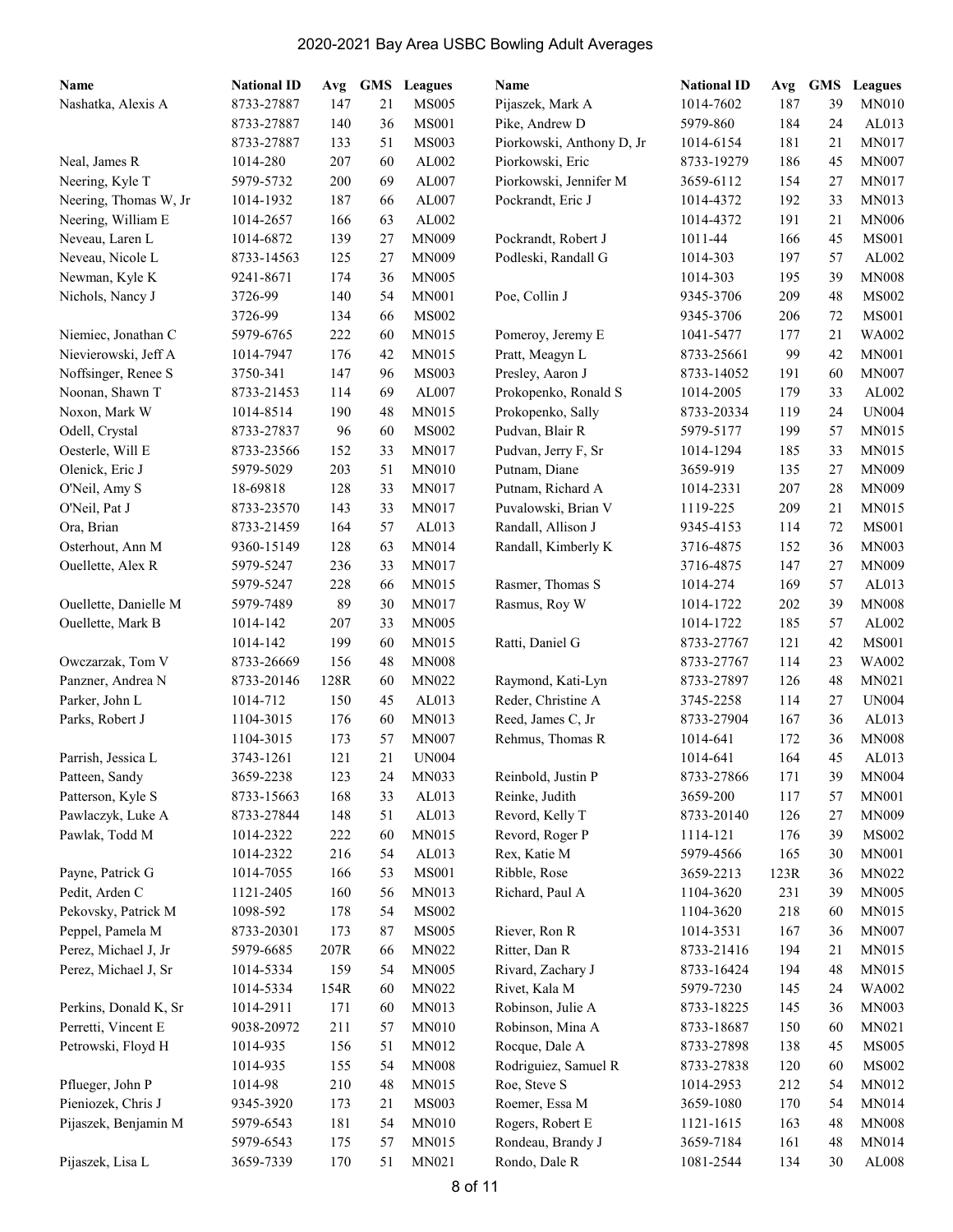| Name                  | <b>National ID</b> | Avg  | <b>GMS</b> | Leagues      | Name                      | <b>National ID</b> | Avg  | GMS | Leagues      |
|-----------------------|--------------------|------|------------|--------------|---------------------------|--------------------|------|-----|--------------|
| Nashatka, Alexis A    | 8733-27887         | 147  | 21         | <b>MS005</b> | Pijaszek, Mark A          | 1014-7602          | 187  | 39  | <b>MN010</b> |
|                       | 8733-27887         | 140  | 36         | <b>MS001</b> | Pike, Andrew D            | 5979-860           | 184  | 24  | AL013        |
|                       | 8733-27887         | 133  | 51         | <b>MS003</b> | Piorkowski, Anthony D, Jr | 1014-6154          | 181  | 21  | MN017        |
| Neal, James R         | 1014-280           | 207  | 60         | AL002        | Piorkowski, Eric          | 8733-19279         | 186  | 45  | <b>MN007</b> |
| Neering, Kyle T       | 5979-5732          | 200  | 69         | AL007        | Piorkowski, Jennifer M    | 3659-6112          | 154  | 27  | MN017        |
| Neering, Thomas W, Jr | 1014-1932          | 187  | 66         | AL007        | Pockrandt, Eric J         | 1014-4372          | 192  | 33  | MN013        |
| Neering, William E    | 1014-2657          | 166  | 63         | AL002        |                           | 1014-4372          | 191  | 21  | <b>MN006</b> |
| Neveau, Laren L       | 1014-6872          | 139  | 27         | <b>MN009</b> | Pockrandt, Robert J       | 1011-44            | 166  | 45  | <b>MS001</b> |
| Neveau, Nicole L      | 8733-14563         | 125  | 27         | <b>MN009</b> | Podleski, Randall G       | 1014-303           | 197  | 57  | AL002        |
| Newman, Kyle K        | 9241-8671          | 174  | 36         | <b>MN005</b> |                           | 1014-303           | 195  | 39  | <b>MN008</b> |
| Nichols, Nancy J      | 3726-99            | 140  | 54         | <b>MN001</b> | Poe, Collin J             | 9345-3706          | 209  | 48  | <b>MS002</b> |
|                       | 3726-99            | 134  | 66         | <b>MS002</b> |                           | 9345-3706          | 206  | 72  | <b>MS001</b> |
| Niemiec, Jonathan C   | 5979-6765          | 222  | 60         | MN015        | Pomeroy, Jeremy E         | 1041-5477          | 177  | 21  | WA002        |
| Nievierowski, Jeff A  | 1014-7947          | 176  | 42         | MN015        | Pratt, Meagyn L           | 8733-25661         | 99   | 42  | <b>MN001</b> |
| Noffsinger, Renee S   | 3750-341           | 147  | 96         | <b>MS003</b> | Presley, Aaron J          | 8733-14052         | 191  | 60  | <b>MN007</b> |
| Noonan, Shawn T       | 8733-21453         | 114  | 69         | AL007        | Prokopenko, Ronald S      | 1014-2005          | 179  | 33  | AL002        |
| Noxon, Mark W         | 1014-8514          | 190  | 48         | MN015        | Prokopenko, Sally         | 8733-20334         | 119  | 24  | <b>UN004</b> |
| Odell, Crystal        | 8733-27837         | 96   | 60         | <b>MS002</b> | Pudvan, Blair R           | 5979-5177          | 199  | 57  | MN015        |
| Oesterle, Will E      | 8733-23566         | 152  | 33         | MN017        | Pudvan, Jerry F, Sr       | 1014-1294          | 185  | 33  | MN015        |
| Olenick, Eric J       | 5979-5029          | 203  | 51         | <b>MN010</b> | Putnam, Diane             | 3659-919           | 135  | 27  | <b>MN009</b> |
| O'Neil, Amy S         | 18-69818           | 128  | 33         | <b>MN017</b> | Putnam, Richard A         | 1014-2331          | 207  | 28  | <b>MN009</b> |
| O'Neil, Pat J         | 8733-23570         | 143  | 33         | <b>MN017</b> | Puvalowski, Brian V       | 1119-225           | 209  | 21  | MN015        |
| Ora, Brian            | 8733-21459         | 164  | 57         | AL013        | Randall, Allison J        | 9345-4153          | 114  | 72  | <b>MS001</b> |
| Osterhout, Ann M      | 9360-15149         | 128  | 63         | MN014        | Randall, Kimberly K       | 3716-4875          | 152  | 36  | <b>MN003</b> |
| Ouellette, Alex R     | 5979-5247          | 236  | 33         | <b>MN017</b> |                           | 3716-4875          | 147  | 27  | <b>MN009</b> |
|                       | 5979-5247          | 228  | 66         | <b>MN015</b> | Rasmer, Thomas S          | 1014-274           | 169  | 57  | AL013        |
| Ouellette, Danielle M | 5979-7489          | 89   | 30         | MN017        | Rasmus, Roy W             | 1014-1722          | 202  | 39  | <b>MN008</b> |
| Ouellette, Mark B     | 1014-142           | 207  | 33         | <b>MN005</b> |                           | 1014-1722          | 185  | 57  | AL002        |
|                       | 1014-142           | 199  | 60         | MN015        | Ratti, Daniel G           | 8733-27767         | 121  | 42  | <b>MS001</b> |
| Owczarzak, Tom V      | 8733-26669         | 156  | 48         | <b>MN008</b> |                           | 8733-27767         | 114  | 23  | WA002        |
| Panzner, Andrea N     | 8733-20146         | 128R | 60         | <b>MN022</b> | Raymond, Kati-Lyn         | 8733-27897         | 126  | 48  | MN021        |
| Parker, John L        | 1014-712           | 150  | 45         | AL013        | Reder, Christine A        | 3745-2258          | 114  | 27  | <b>UN004</b> |
| Parks, Robert J       | 1104-3015          | 176  | 60         | MN013        | Reed, James C, Jr         | 8733-27904         | 167  | 36  | AL013        |
|                       | 1104-3015          | 173  | 57         | <b>MN007</b> | Rehmus, Thomas R          | 1014-641           | 172  | 36  | <b>MN008</b> |
| Parrish, Jessica L    | 3743-1261          | 121  | 21         | <b>UN004</b> |                           | 1014-641           | 164  | 45  | AL013        |
| Patteen, Sandy        | 3659-2238          | 123  | 24         | MN033        | Reinbold, Justin P        | 8733-27866         | 171  | 39  | <b>MN004</b> |
| Patterson, Kyle S     | 8733-15663         | 168  | 33         | AL013        | Reinke, Judith            | 3659-200           | 117  | 57  | <b>MN001</b> |
| Pawlaczyk, Luke A     | 8733-27844         | 148  | 51         | AL013        | Revord, Kelly T           | 8733-20140         | 126  | 27  | MN009        |
| Pawlak, Todd M        | 1014-2322          | 222  | 60         | MN015        | Revord, Roger P           | 1114-121           | 176  | 39  | <b>MS002</b> |
|                       | 1014-2322          | 216  | 54         | AL013        | Rex, Katie M              | 5979-4566          | 165  | 30  | <b>MN001</b> |
| Payne, Patrick G      | 1014-7055          | 166  | 53         | <b>MS001</b> | Ribble, Rose              | 3659-2213          | 123R | 36  | <b>MN022</b> |
| Pedit, Arden C        | 1121-2405          | 160  | 56         | MN013        | Richard, Paul A           | 1104-3620          | 231  | 39  | <b>MN005</b> |
| Pekovsky, Patrick M   | 1098-592           | 178  | 54         | <b>MS002</b> |                           | 1104-3620          | 218  | 60  | MN015        |
| Peppel, Pamela M      | 8733-20301         | 173  | 87         | <b>MS005</b> | Riever, Ron R             | 1014-3531          | 167  | 36  | MN007        |
| Perez, Michael J, Jr  | 5979-6685          | 207R | 66         | MN022        | Ritter, Dan R             | 8733-21416         | 194  | 21  | MN015        |
| Perez, Michael J, Sr  | 1014-5334          | 159  | 54         | <b>MN005</b> | Rivard, Zachary J         | 8733-16424         | 194  | 48  | MN015        |
|                       | 1014-5334          | 154R | 60         | <b>MN022</b> | Rivet, Kala M             | 5979-7230          | 145  | 24  | WA002        |
| Perkins, Donald K, Sr | 1014-2911          | 171  | 60         | MN013        | Robinson, Julie A         | 8733-18225         | 145  | 36  | <b>MN003</b> |
| Perretti, Vincent E   | 9038-20972         | 211  | 57         | <b>MN010</b> | Robinson, Mina A          | 8733-18687         | 150  | 60  | MN021        |
| Petrowski, Floyd H    | 1014-935           | 156  | 51         | MN012        | Rocque, Dale A            | 8733-27898         | 138  | 45  | <b>MS005</b> |
|                       | 1014-935           | 155  | 54         | <b>MN008</b> | Rodriguiez, Samuel R      | 8733-27838         | 120  | 60  | <b>MS002</b> |
| Pflueger, John P      | 1014-98            | 210  | 48         | MN015        | Roe, Steve S              | 1014-2953          | 212  | 54  | MN012        |
| Pieniozek, Chris J    | 9345-3920          | 173  | 21         | <b>MS003</b> | Roemer, Essa M            | 3659-1080          | 170  | 54  | MN014        |
| Pijaszek, Benjamin M  | 5979-6543          | 181  | 54         | <b>MN010</b> | Rogers, Robert E          | 1121-1615          | 163  | 48  | <b>MN008</b> |
|                       | 5979-6543          | 175  | 57         | <b>MN015</b> | Rondeau, Brandy J         | 3659-7184          | 161  | 48  | <b>MN014</b> |
| Pijaszek, Lisa L      | 3659-7339          | 170  | 51         | MN021        | Rondo, Dale R             | 1081-2544          | 134  | 30  | AL008        |
|                       |                    |      |            |              |                           |                    |      |     |              |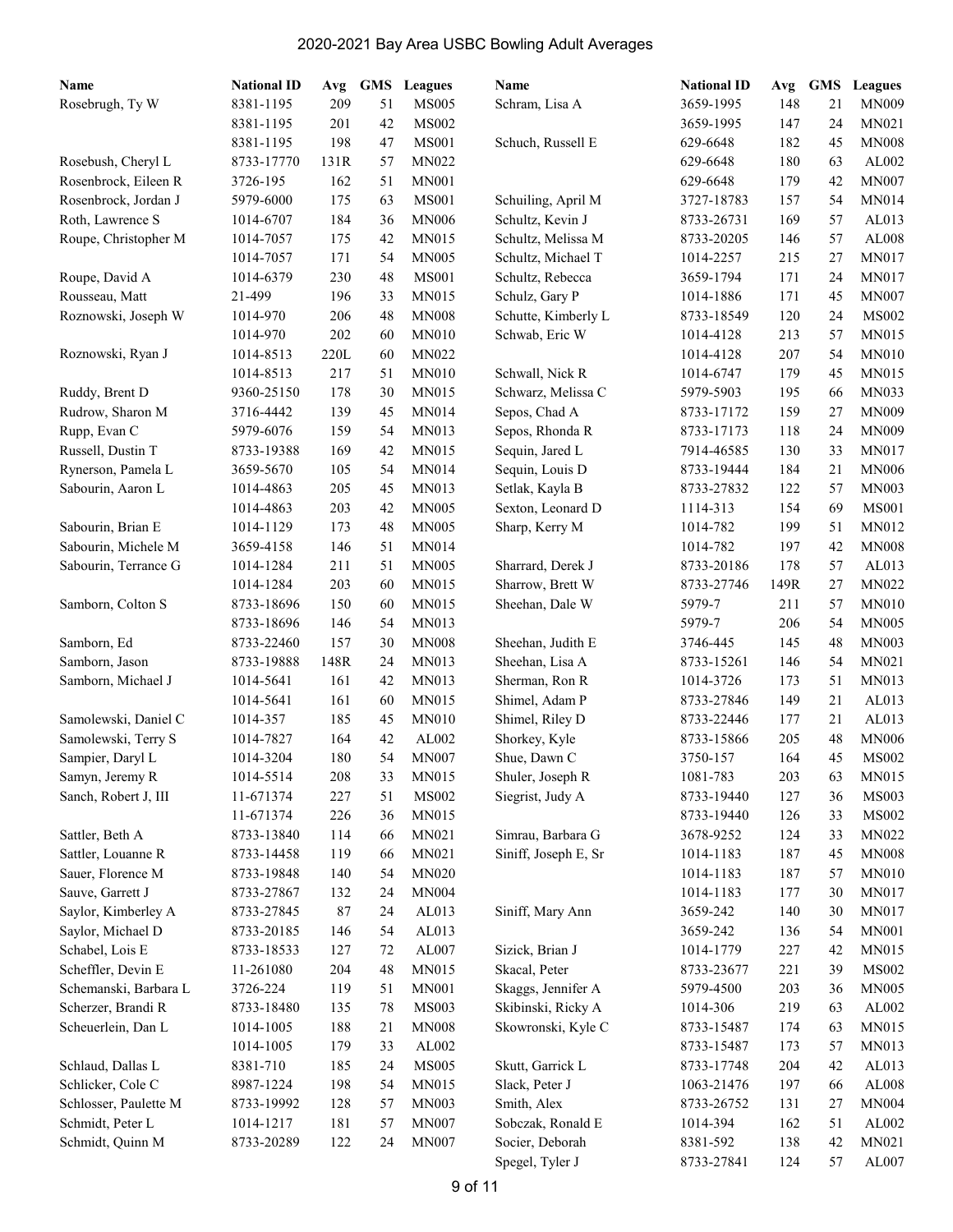| Name                  | <b>National ID</b> | Avg  | <b>GMS</b> | <b>Leagues</b> | Name                 | <b>National ID</b> | Avg  | <b>GMS</b> | Leagues       |
|-----------------------|--------------------|------|------------|----------------|----------------------|--------------------|------|------------|---------------|
| Rosebrugh, Ty W       | 8381-1195          | 209  | 51         | <b>MS005</b>   | Schram, Lisa A       | 3659-1995          | 148  | 21         | <b>MN009</b>  |
|                       | 8381-1195          | 201  | 42         | <b>MS002</b>   |                      | 3659-1995          | 147  | 24         | MN021         |
|                       | 8381-1195          | 198  | 47         | <b>MS001</b>   | Schuch, Russell E    | 629-6648           | 182  | 45         | <b>MN008</b>  |
| Rosebush, Cheryl L    | 8733-17770         | 131R | 57         | MN022          |                      | 629-6648           | 180  | 63         | AL002         |
| Rosenbrock, Eileen R  | 3726-195           | 162  | 51         | <b>MN001</b>   |                      | 629-6648           | 179  | 42         | <b>MN007</b>  |
| Rosenbrock, Jordan J  | 5979-6000          | 175  | 63         | <b>MS001</b>   | Schuiling, April M   | 3727-18783         | 157  | 54         | <b>MN014</b>  |
| Roth, Lawrence S      | 1014-6707          | 184  | 36         | <b>MN006</b>   | Schultz, Kevin J     | 8733-26731         | 169  | 57         | AL013         |
| Roupe, Christopher M  | 1014-7057          | 175  | 42         | <b>MN015</b>   | Schultz, Melissa M   | 8733-20205         | 146  | 57         | AL008         |
|                       | 1014-7057          | 171  | 54         | <b>MN005</b>   | Schultz, Michael T   | 1014-2257          | 215  | 27         | MN017         |
| Roupe, David A        | 1014-6379          | 230  | 48         | <b>MS001</b>   | Schultz, Rebecca     | 3659-1794          | 171  | 24         | <b>MN017</b>  |
| Rousseau, Matt        | 21-499             | 196  | 33         | <b>MN015</b>   | Schulz, Gary P       | 1014-1886          | 171  | 45         | <b>MN007</b>  |
| Roznowski, Joseph W   | 1014-970           | 206  | 48         | <b>MN008</b>   | Schutte, Kimberly L  | 8733-18549         | 120  | 24         | <b>MS002</b>  |
|                       | 1014-970           | 202  | 60         | <b>MN010</b>   | Schwab, Eric W       | 1014-4128          | 213  | 57         | MN015         |
| Roznowski, Ryan J     | 1014-8513          | 220L | 60         | MN022          |                      | 1014-4128          | 207  | 54         | <b>MN010</b>  |
|                       | 1014-8513          | 217  | 51         | <b>MN010</b>   | Schwall, Nick R      | 1014-6747          | 179  | 45         | MN015         |
| Ruddy, Brent D        | 9360-25150         | 178  | 30         | MN015          | Schwarz, Melissa C   | 5979-5903          | 195  | 66         | MN033         |
| Rudrow, Sharon M      | 3716-4442          | 139  | 45         | <b>MN014</b>   | Sepos, Chad A        | 8733-17172         | 159  | 27         | <b>MN009</b>  |
| Rupp, Evan C          | 5979-6076          | 159  | 54         | <b>MN013</b>   | Sepos, Rhonda R      | 8733-17173         | 118  | 24         | <b>MN009</b>  |
| Russell, Dustin T     | 8733-19388         | 169  | 42         | <b>MN015</b>   | Sequin, Jared L      | 7914-46585         | 130  | 33         | <b>MN017</b>  |
| Rynerson, Pamela L    | 3659-5670          | 105  | 54         | <b>MN014</b>   | Sequin, Louis D      | 8733-19444         | 184  | 21         | <b>MN006</b>  |
| Sabourin, Aaron L     | 1014-4863          | 205  | 45         | <b>MN013</b>   | Setlak, Kayla B      | 8733-27832         | 122  | 57         | <b>MN003</b>  |
|                       | 1014-4863          | 203  | 42         | <b>MN005</b>   | Sexton, Leonard D    | 1114-313           | 154  | 69         | <b>MS001</b>  |
| Sabourin, Brian E     | 1014-1129          | 173  | 48         | <b>MN005</b>   | Sharp, Kerry M       | 1014-782           | 199  | 51         | MN012         |
| Sabourin, Michele M   | 3659-4158          | 146  | 51         | MN014          |                      | 1014-782           | 197  | 42         | <b>MN008</b>  |
| Sabourin, Terrance G  | 1014-1284          | 211  | 51         | <b>MN005</b>   | Sharrard, Derek J    | 8733-20186         | 178  | 57         | AL013         |
|                       | 1014-1284          | 203  | 60         | <b>MN015</b>   | Sharrow, Brett W     | 8733-27746         | 149R | 27         | MN022         |
| Samborn, Colton S     | 8733-18696         | 150  | 60         | <b>MN015</b>   | Sheehan, Dale W      | 5979-7             | 211  | 57         | <b>MN010</b>  |
|                       | 8733-18696         | 146  | 54         | <b>MN013</b>   |                      | 5979-7             | 206  | 54         | <b>MN005</b>  |
| Samborn, Ed           | 8733-22460         | 157  | 30         | <b>MN008</b>   | Sheehan, Judith E    | 3746-445           | 145  | 48         | <b>MN003</b>  |
| Samborn, Jason        | 8733-19888         | 148R | 24         | <b>MN013</b>   | Sheehan, Lisa A      | 8733-15261         | 146  | 54         | MN021         |
| Samborn, Michael J    | 1014-5641          | 161  | 42         | <b>MN013</b>   | Sherman, Ron R       | 1014-3726          | 173  | 51         | MN013         |
|                       | 1014-5641          | 161  | 60         | MN015          | Shimel, Adam P       | 8733-27846         | 149  | 21         | AL013         |
| Samolewski, Daniel C  | 1014-357           | 185  | 45         | <b>MN010</b>   | Shimel, Riley D      | 8733-22446         | 177  | 21         | AL013         |
| Samolewski, Terry S   | 1014-7827          | 164  | 42         | AL002          | Shorkey, Kyle        | 8733-15866         | 205  | 48         | <b>MN006</b>  |
| Sampier, Daryl L      | 1014-3204          | 180  | 54         | <b>MN007</b>   | Shue, Dawn C         | 3750-157           | 164  | 45         | <b>MS002</b>  |
| Samyn, Jeremy R       | 1014-5514          | 208  | 33         | MN015          | Shuler, Joseph R     | 1081-783           | 203  | 63         | MN015         |
| Sanch, Robert J, III  | 11-671374          | 227  | 51         | <b>MS002</b>   | Siegrist, Judy A     | 8733-19440         | 127  | 36         | <b>MS003</b>  |
|                       | 11-671374          | 226  | 36         | MN015          |                      | 8733-19440         | 126  | 33         | <b>MS002</b>  |
| Sattler, Beth A       | 8733-13840         | 114  | 66         | MN021          | Simrau, Barbara G    | 3678-9252          | 124  | 33         | MN022         |
| Sattler, Louanne R    | 8733-14458         | 119  | 66         | MN021          | Siniff, Joseph E, Sr | 1014-1183          | 187  | 45         | <b>MN008</b>  |
| Sauer, Florence M     | 8733-19848         | 140  | 54         | <b>MN020</b>   |                      | 1014-1183          | 187  | 57         | $M N 0 10$    |
| Sauve, Garrett J      | 8733-27867         | 132  | 24         | <b>MN004</b>   |                      | 1014-1183          | 177  | 30         | MN017         |
| Saylor, Kimberley A   | 8733-27845         | 87   | 24         | AL013          | Siniff, Mary Ann     | 3659-242           | 140  | 30         | MN017         |
| Saylor, Michael D     | 8733-20185         | 146  | 54         | AL013          |                      | 3659-242           | 136  | 54         | <b>MN001</b>  |
| Schabel, Lois E       | 8733-18533         | 127  | 72         | $AL007$        | Sizick, Brian J      | 1014-1779          | 227  | $42\,$     | MN015         |
| Scheffler, Devin E    | 11-261080          | 204  | 48         | MN015          | Skacal, Peter        | 8733-23677         | 221  | 39         | <b>MS002</b>  |
| Schemanski, Barbara L | 3726-224           | 119  | 51         | <b>MN001</b>   | Skaggs, Jennifer A   | 5979-4500          | 203  | 36         | MN005         |
| Scherzer, Brandi R    | 8733-18480         | 135  | 78         | MS003          | Skibinski, Ricky A   | 1014-306           | 219  | 63         | AL002         |
| Scheuerlein, Dan L    | 1014-1005          | 188  | 21         | <b>MN008</b>   | Skowronski, Kyle C   | 8733-15487         | 174  | 63         | MN015         |
|                       | 1014-1005          | 179  | 33         | AL002          |                      | 8733-15487         | 173  | 57         | MN013         |
| Schlaud, Dallas L     | 8381-710           | 185  | 24         | <b>MS005</b>   | Skutt, Garrick L     | 8733-17748         | 204  | 42         | AL013         |
| Schlicker, Cole C     | 8987-1224          | 198  | 54         | MN015          | Slack, Peter J       | 1063-21476         | 197  | 66         | AL008         |
| Schlosser, Paulette M | 8733-19992         | 128  | 57         | MN003          | Smith, Alex          | 8733-26752         | 131  | 27         | <b>MN004</b>  |
| Schmidt, Peter L      | 1014-1217          | 181  | 57         | <b>MN007</b>   | Sobczak, Ronald E    | 1014-394           | 162  | 51         | ${\rm AL}002$ |
| Schmidt, Quinn M      | 8733-20289         | 122  | 24         | <b>MN007</b>   | Socier, Deborah      | 8381-592           | 138  | 42         | MN021         |
|                       |                    |      |            |                | Spegel, Tyler J      | 8733-27841         | 124  | 57         | AL007         |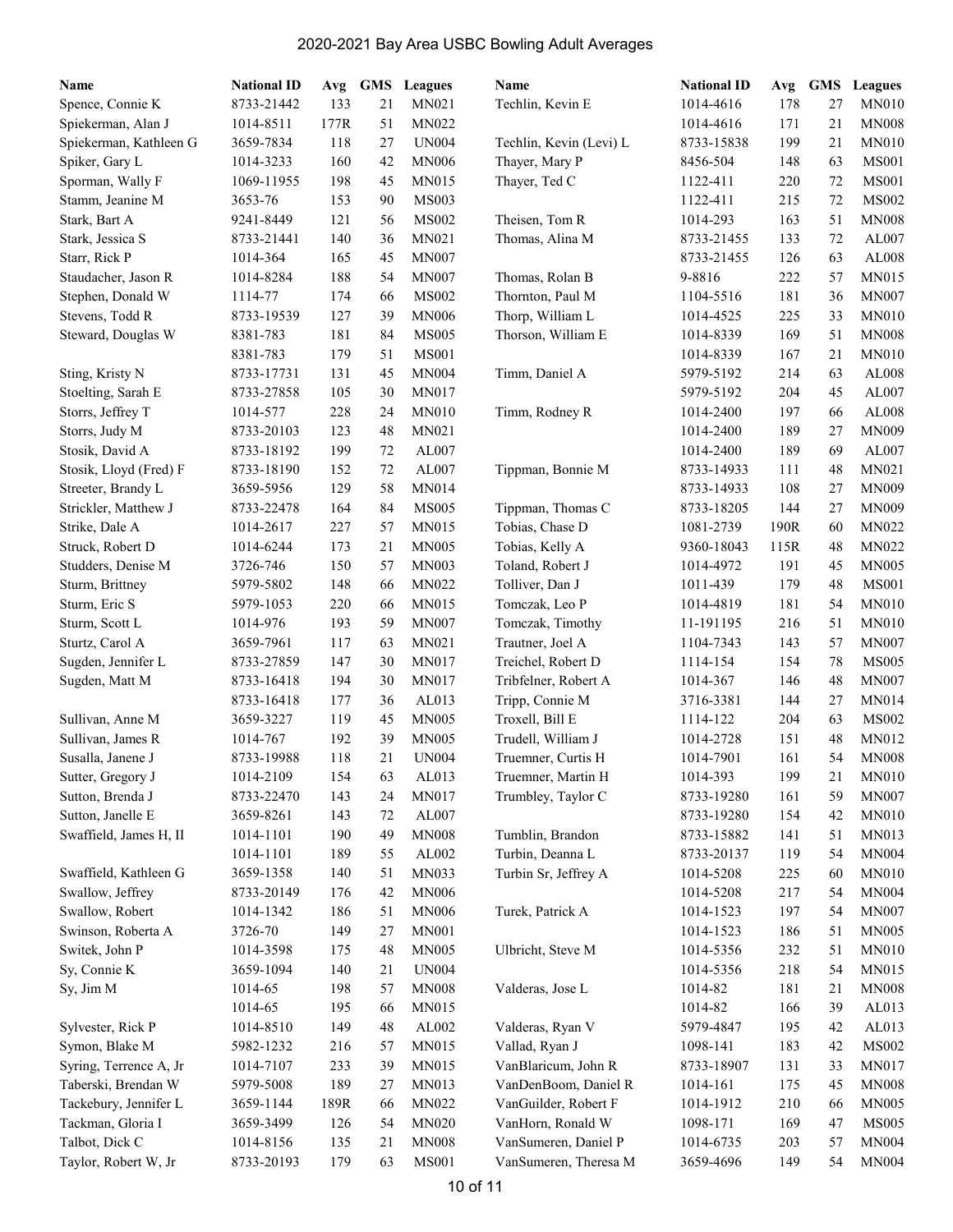| Name                   | <b>National ID</b> | Avg  | <b>GMS</b> | Leagues      | Name                    | <b>National ID</b> | Avg        | <b>GMS</b> | Leagues      |
|------------------------|--------------------|------|------------|--------------|-------------------------|--------------------|------------|------------|--------------|
| Spence, Connie K       | 8733-21442         | 133  | 21         | MN021        | Techlin, Kevin E        | 1014-4616          | 178        | 27         | <b>MN010</b> |
| Spiekerman, Alan J     | 1014-8511          | 177R | 51         | MN022        |                         | 1014-4616          | 171        | 21         | <b>MN008</b> |
| Spiekerman, Kathleen G | 3659-7834          | 118  | 27         | <b>UN004</b> | Techlin, Kevin (Levi) L | 8733-15838         | 199        | 21         | <b>MN010</b> |
| Spiker, Gary L         | 1014-3233          | 160  | 42         | <b>MN006</b> | Thayer, Mary P          | 8456-504           | 148        | 63         | <b>MS001</b> |
| Sporman, Wally F       | 1069-11955         | 198  | 45         | MN015        | Thayer, Ted C           | 1122-411           | 220        | 72         | <b>MS001</b> |
| Stamm, Jeanine M       | 3653-76            | 153  | 90         | <b>MS003</b> |                         | 1122-411           | 215        | 72         | <b>MS002</b> |
| Stark, Bart A          | 9241-8449          | 121  | 56         | <b>MS002</b> | Theisen, Tom R          | 1014-293           | 163        | 51         | <b>MN008</b> |
| Stark, Jessica S       | 8733-21441         | 140  | 36         | MN021        | Thomas, Alina M         | 8733-21455         | 133        | 72         | AL007        |
| Starr, Rick P          | 1014-364           | 165  | 45         | <b>MN007</b> |                         | 8733-21455         | 126        | 63         | AL008        |
| Staudacher, Jason R    | 1014-8284          | 188  | 54         | <b>MN007</b> | Thomas, Rolan B         | 9-8816             | 222        | 57         | MN015        |
| Stephen, Donald W      | 1114-77            | 174  | 66         | <b>MS002</b> | Thornton, Paul M        | 1104-5516          | 181        | 36         | <b>MN007</b> |
| Stevens, Todd R        | 8733-19539         | 127  | 39         | <b>MN006</b> | Thorp, William L        | 1014-4525          | 225        | 33         | <b>MN010</b> |
| Steward, Douglas W     | 8381-783           | 181  | 84         | <b>MS005</b> | Thorson, William E      | 1014-8339          | 169        | 51         | <b>MN008</b> |
|                        | 8381-783           | 179  | 51         | <b>MS001</b> |                         | 1014-8339          | 167        | 21         | <b>MN010</b> |
| Sting, Kristy N        | 8733-17731         | 131  | 45         | <b>MN004</b> | Timm, Daniel A          | 5979-5192          | 214        | 63         | AL008        |
| Stoelting, Sarah E     | 8733-27858         | 105  | 30         | <b>MN017</b> |                         | 5979-5192          | 204        | 45         | AL007        |
| Storrs, Jeffrey T      | 1014-577           | 228  | 24         | <b>MN010</b> | Timm, Rodney R          | 1014-2400          | 197        | 66         | AL008        |
| Storrs, Judy M         | 8733-20103         | 123  | 48         | MN021        |                         | 1014-2400          | 189        | 27         | <b>MN009</b> |
| Stosik, David A        | 8733-18192         | 199  | 72         | AL007        |                         | 1014-2400          | 189        | 69         | AL007        |
| Stosik, Lloyd (Fred) F | 8733-18190         | 152  | 72         | AL007        | Tippman, Bonnie M       | 8733-14933         | 111        | 48         | MN021        |
| Streeter, Brandy L     | 3659-5956          | 129  | 58         | MN014        |                         | 8733-14933         | 108        | 27         | <b>MN009</b> |
| Strickler, Matthew J   | 8733-22478         | 164  | 84         | <b>MS005</b> | Tippman, Thomas C       | 8733-18205         | 144        | 27         | <b>MN009</b> |
| Strike, Dale A         | 1014-2617          | 227  | 57         | MN015        | Tobias, Chase D         | 1081-2739          | 190R       | 60         | <b>MN022</b> |
| Struck, Robert D       | 1014-6244          | 173  | 21         | <b>MN005</b> | Tobias, Kelly A         | 9360-18043         | 115R       | 48         | <b>MN022</b> |
| Studders, Denise M     | 3726-746           | 150  | 57         | MN003        | Toland, Robert J        | 1014-4972          | 191        | 45         | <b>MN005</b> |
| Sturm, Brittney        | 5979-5802          | 148  | 66         | MN022        | Tolliver, Dan J         | 1011-439           | 179        | 48         | <b>MS001</b> |
| Sturm, Eric S          | 5979-1053          | 220  | 66         | MN015        | Tomczak, Leo P          | 1014-4819          | 181        | 54         | <b>MN010</b> |
| Sturm, Scott L         | 1014-976           | 193  | 59         | <b>MN007</b> | Tomczak, Timothy        | 11-191195          | 216        | 51         | <b>MN010</b> |
| Sturtz, Carol A        | 3659-7961          | 117  | 63         | MN021        | Trautner, Joel A        | 1104-7343          | 143        | 57         | <b>MN007</b> |
| Sugden, Jennifer L     | 8733-27859         | 147  | 30         | MN017        | Treichel, Robert D      | 1114-154           | 154        | 78         | <b>MS005</b> |
| Sugden, Matt M         | 8733-16418         | 194  | 30         | <b>MN017</b> | Tribfelner, Robert A    | 1014-367           | 146        | 48         | <b>MN007</b> |
|                        | 8733-16418         | 177  | 36         | AL013        | Tripp, Connie M         | 3716-3381          | 144        | 27         | <b>MN014</b> |
| Sullivan, Anne M       | 3659-3227          | 119  | 45         | <b>MN005</b> | Troxell, Bill E         | 1114-122           | 204        | 63         | <b>MS002</b> |
| Sullivan, James R      | 1014-767           | 192  | 39         | <b>MN005</b> | Trudell, William J      | 1014-2728          | 151        | 48         | MN012        |
| Susalla, Janene J      | 8733-19988         | 118  | 21         |              | Truemner, Curtis H      |                    |            | 54         | <b>MN008</b> |
| Sutter, Gregory J      |                    | 154  | 63         | <b>UN004</b> | Truemner, Martin H      | 1014-7901          | 161<br>199 | $21\,$     | MN010        |
|                        | 1014-2109          |      |            | AL013        |                         | 1014-393           |            | 59         |              |
| Sutton, Brenda J       | 8733-22470         | 143  | 24         | MN017        | Trumbley, Taylor C      | 8733-19280         | 161        |            | <b>MN007</b> |
| Sutton, Janelle E      | 3659-8261          | 143  | 72         | AL007        |                         | 8733-19280         | 154        | 42         | <b>MN010</b> |
| Swaffield, James H, II | 1014-1101          | 190  | 49         | <b>MN008</b> | Tumblin, Brandon        | 8733-15882         | 141        | 51         | MN013        |
|                        | 1014-1101          | 189  | 55         | AL002        | Turbin, Deanna L        | 8733-20137         | 119        | 54         | <b>MN004</b> |
| Swaffield, Kathleen G  | 3659-1358          | 140  | 51         | MN033        | Turbin Sr, Jeffrey A    | 1014-5208          | 225        | 60         | <b>MN010</b> |
| Swallow, Jeffrey       | 8733-20149         | 176  | 42         | <b>MN006</b> |                         | 1014-5208          | 217        | 54         | <b>MN004</b> |
| Swallow, Robert        | 1014-1342          | 186  | 51         | <b>MN006</b> | Turek, Patrick A        | 1014-1523          | 197        | 54         | <b>MN007</b> |
| Swinson, Roberta A     | 3726-70            | 149  | 27         | <b>MN001</b> |                         | 1014-1523          | 186        | 51         | <b>MN005</b> |
| Switek, John P         | 1014-3598          | 175  | 48         | <b>MN005</b> | Ulbricht, Steve M       | 1014-5356          | 232        | 51         | <b>MN010</b> |
| Sy, Connie K           | 3659-1094          | 140  | 21         | <b>UN004</b> |                         | 1014-5356          | 218        | 54         | <b>MN015</b> |
| Sy, Jim M              | 1014-65            | 198  | 57         | <b>MN008</b> | Valderas, Jose L        | 1014-82            | 181        | 21         | <b>MN008</b> |
|                        | 1014-65            | 195  | 66         | MN015        |                         | 1014-82            | 166        | 39         | AL013        |
| Sylvester, Rick P      | 1014-8510          | 149  | 48         | AL002        | Valderas, Ryan V        | 5979-4847          | 195        | 42         | AL013        |
| Symon, Blake M         | 5982-1232          | 216  | 57         | MN015        | Vallad, Ryan J          | 1098-141           | 183        | 42         | <b>MS002</b> |
| Syring, Terrence A, Jr | 1014-7107          | 233  | 39         | MN015        | VanBlaricum, John R     | 8733-18907         | 131        | 33         | MN017        |
| Taberski, Brendan W    | 5979-5008          | 189  | 27         | MN013        | VanDenBoom, Daniel R    | 1014-161           | 175        | 45         | <b>MN008</b> |
| Tackebury, Jennifer L  | 3659-1144          | 189R | 66         | MN022        | VanGuilder, Robert F    | 1014-1912          | 210        | 66         | <b>MN005</b> |
| Tackman, Gloria I      | 3659-3499          | 126  | 54         | <b>MN020</b> | VanHorn, Ronald W       | 1098-171           | 169        | 47         | <b>MS005</b> |
| Talbot, Dick C         | 1014-8156          | 135  | 21         | <b>MN008</b> | VanSumeren, Daniel P    | 1014-6735          | 203        | 57         | <b>MN004</b> |
| Taylor, Robert W, Jr   | 8733-20193         | 179  | 63         | <b>MS001</b> | VanSumeren, Theresa M   | 3659-4696          | 149        | 54         | <b>MN004</b> |